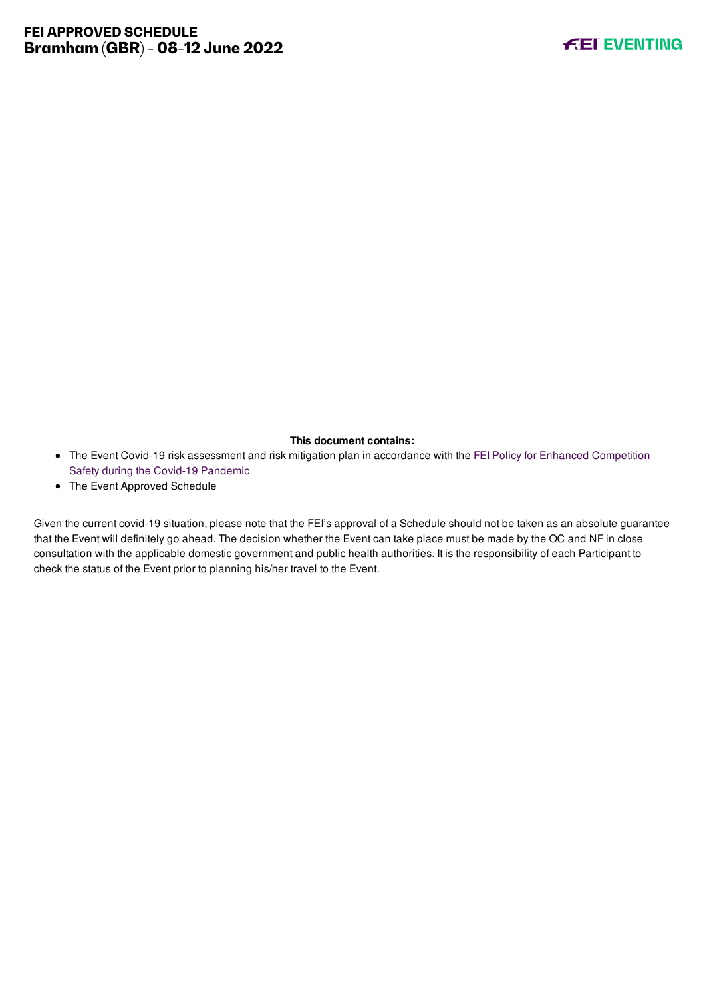#### **This document contains:**

- [The Event Covid-19 risk assessment and risk mitigation plan in accordance with the FEI Policy for Enhanced Competition](https://inside.fei.org/fei/covid-19/return-to-play) Safety during the Covid-19 Pandemic
- The Event Approved Schedule

Given the current covid-19 situation, please note that the FEI's approval of a Schedule should not be taken as an absolute guarantee that the Event will definitely go ahead. The decision whether the Event can take place must be made by the OC and NF in close consultation with the applicable domestic government and public health authorities. It is the responsibility of each Participant to check the status of the Event prior to planning his/her travel to the Event.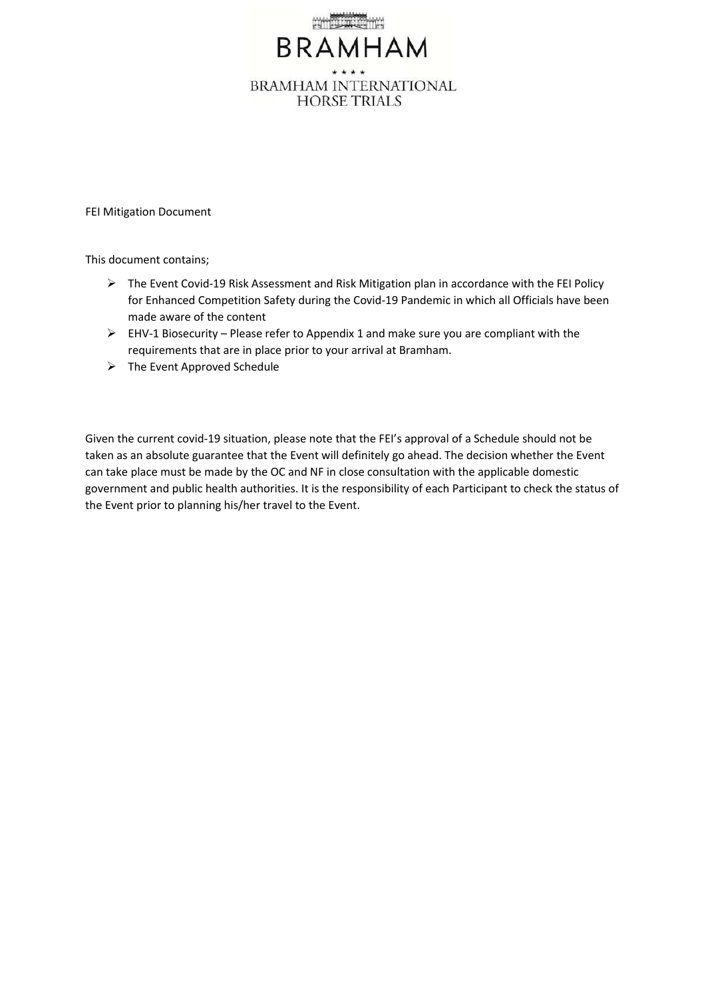

FEI Mitigation Document

This document contains;

- The Event Covid-19 Risk Assessment and Risk Mitigation plan in accordance with the FEI Policy for Enhanced Competition Safety during the Covid-19 Pandemic in which all Officials have been made aware of the content
- $\triangleright$  EHV-1 Biosecurity Please refer to Appendix 1 and make sure you are compliant with the requirements that are in place prior to your arrival at Bramham.
- $\triangleright$  The Event Approved Schedule

Given the current covid-19 situation, please note that the FEI's approval of a Schedule should not be taken as an absolute guarantee that the Event will definitely go ahead. The decision whether the Event can take place must be made by the OC and NF in close consultation with the applicable domestic government and public health authorities. It is the responsibility of each Participant to check the status of the Event prior to planning his/her travel to the Event.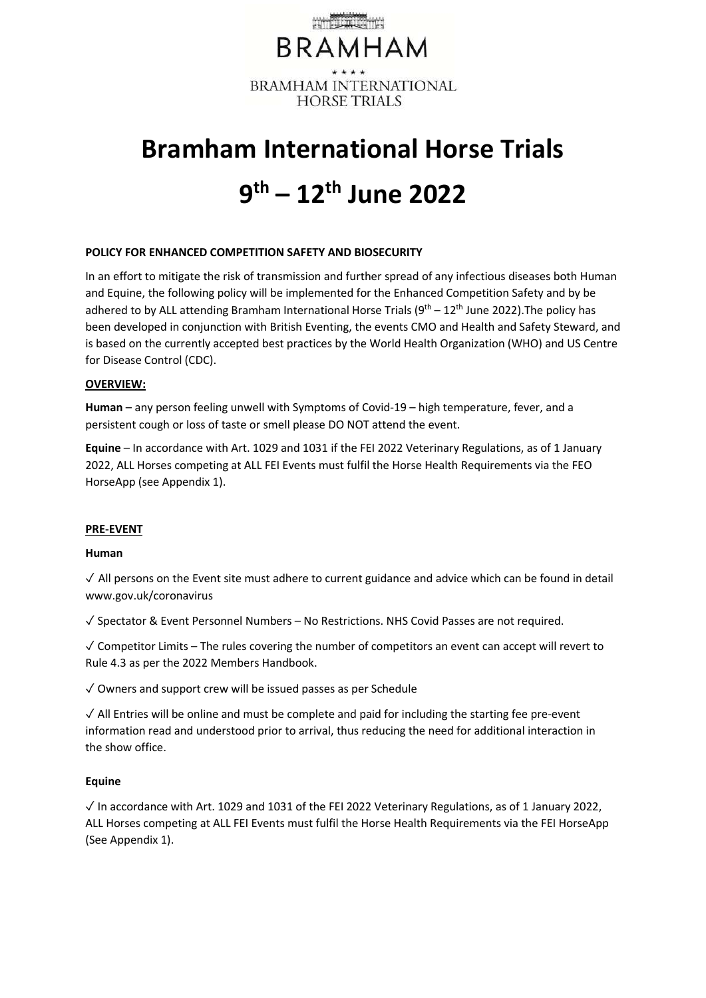

# **Bramham International Horse Trials 9 th – 12th June 2022**

#### **POLICY FOR ENHANCED COMPETITION SAFETY AND BIOSECURITY**

In an effort to mitigate the risk of transmission and further spread of any infectious diseases both Human and Equine, the following policy will be implemented for the Enhanced Competition Safety and by be adhered to by ALL attending Bramham International Horse Trials (9<sup>th</sup> – 12<sup>th</sup> June 2022). The policy has been developed in conjunction with British Eventing, the events CMO and Health and Safety Steward, and is based on the currently accepted best practices by the World Health Organization (WHO) and US Centre for Disease Control (CDC).

#### **OVERVIEW:**

**Human** – any person feeling unwell with Symptoms of Covid-19 – high temperature, fever, and a persistent cough or loss of taste or smell please DO NOT attend the event.

**Equine** – In accordance with Art. 1029 and 1031 if the FEI 2022 Veterinary Regulations, as of 1 January 2022, ALL Horses competing at ALL FEI Events must fulfil the Horse Health Requirements via the FEO HorseApp (see Appendix 1).

#### **PRE-EVENT**

#### **Human**

✓ All persons on the Event site must adhere to current guidance and advice which can be found in detail www.gov.uk/coronavirus

✓ Spectator & Event Personnel Numbers – No Restrictions. NHS Covid Passes are not required.

✓ Competitor Limits – The rules covering the number of competitors an event can accept will revert to Rule 4.3 as per the 2022 Members Handbook.

✓ Owners and support crew will be issued passes as per Schedule

 $\sqrt{\ }$  All Entries will be online and must be complete and paid for including the starting fee pre-event information read and understood prior to arrival, thus reducing the need for additional interaction in the show office.

#### **Equine**

 $\sqrt{ }$  In accordance with Art. 1029 and 1031 of the FEI 2022 Veterinary Regulations, as of 1 January 2022, ALL Horses competing at ALL FEI Events must fulfil the Horse Health Requirements via the FEI HorseApp (See Appendix 1).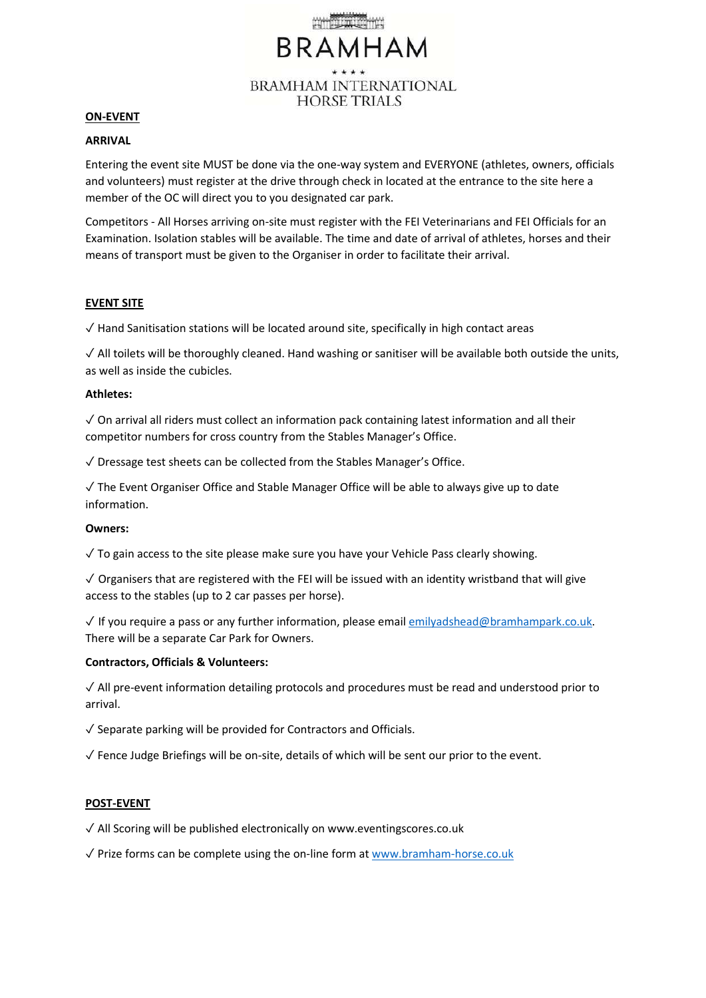# **BRAMHAM BRAMHAM INTERNATIONAL HORSE TRIALS**

#### **ON-EVENT**

#### **ARRIVAL**

Entering the event site MUST be done via the one-way system and EVERYONE (athletes, owners, officials and volunteers) must register at the drive through check in located at the entrance to the site here a member of the OC will direct you to you designated car park.

Competitors - All Horses arriving on-site must register with the FEI Veterinarians and FEI Officials for an Examination. Isolation stables will be available. The time and date of arrival of athletes, horses and their means of transport must be given to the Organiser in order to facilitate their arrival.

#### **EVENT SITE**

 $\sqrt{ }$  Hand Sanitisation stations will be located around site, specifically in high contact areas

✓ All toilets will be thoroughly cleaned. Hand washing or sanitiser will be available both outside the units, as well as inside the cubicles.

#### **Athletes:**

✓ On arrival all riders must collect an information pack containing latest information and all their competitor numbers for cross country from the Stables Manager's Office.

✓ Dressage test sheets can be collected from the Stables Manager's Office.

✓ The Event Organiser Office and Stable Manager Office will be able to always give up to date information.

#### **Owners:**

✓ To gain access to the site please make sure you have your Vehicle Pass clearly showing.

 $\sqrt{2}$  Organisers that are registered with the FEI will be issued with an identity wristband that will give access to the stables (up to 2 car passes per horse).

✓ If you require a pass or any further information, please emai[l emilyadshead@bramhampark.co.uk.](mailto:emilyadshead@bramhampark.co.uk) There will be a separate Car Park for Owners.

#### **Contractors, Officials & Volunteers:**

✓ All pre-event information detailing protocols and procedures must be read and understood prior to arrival.

 $\sqrt{\ }$  Separate parking will be provided for Contractors and Officials.

 $\sqrt{\ }$  Fence Judge Briefings will be on-site, details of which will be sent our prior to the event.

#### **POST-EVENT**

✓ All Scoring will be published electronically on www.eventingscores.co.uk

✓ Prize forms can be complete using the on-line form a[t www.bramham-horse.co.uk](http://www.bramham-horse.co.uk/)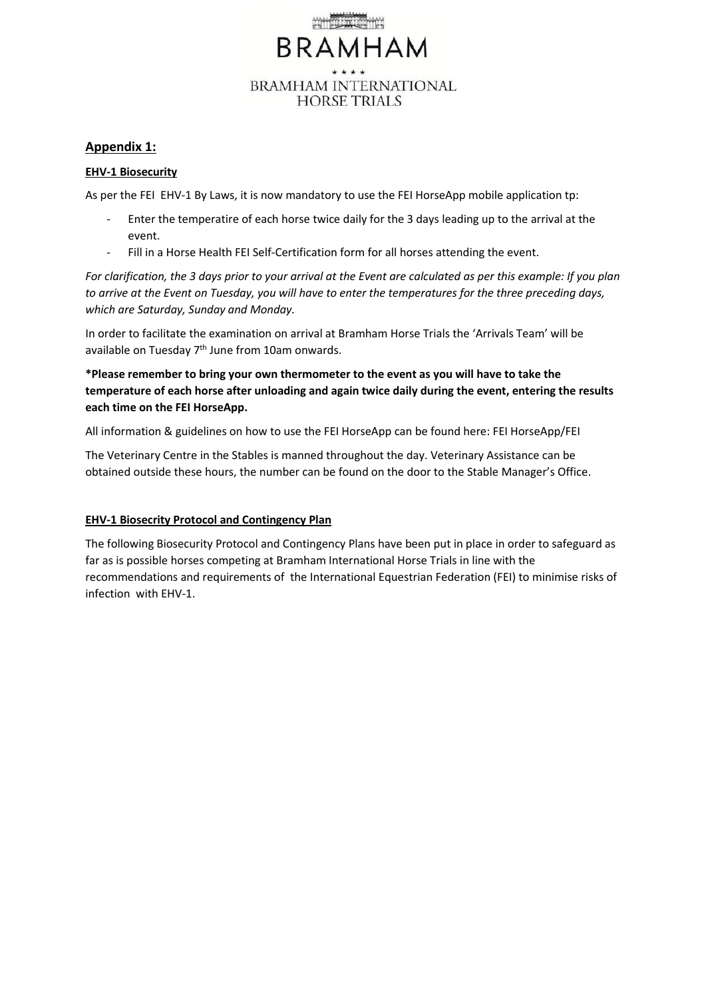

# **Appendix 1:**

#### **EHV-1 Biosecurity**

As per the FEI EHV-1 By Laws, it is now mandatory to use the FEI HorseApp mobile application tp:

- Enter the temperatire of each horse twice daily for the 3 days leading up to the arrival at the event.
- Fill in a Horse Health FEI Self-Certification form for all horses attending the event.

*For clarification, the 3 days prior to your arrival at the Event are calculated as per this example: If you plan to arrive at the Event on Tuesday, you will have to enter the temperatures for the three preceding days, which are Saturday, Sunday and Monday.* 

In order to facilitate the examination on arrival at Bramham Horse Trials the 'Arrivals Team' will be available on Tuesday 7<sup>th</sup> June from 10am onwards.

**\*Please remember to bring your own thermometer to the event as you will have to take the temperature of each horse after unloading and again twice daily during the event, entering the results each time on the FEI HorseApp.**

All information & guidelines on how to use the FEI HorseApp can be found here: FEI HorseApp/FEI

The Veterinary Centre in the Stables is manned throughout the day. Veterinary Assistance can be obtained outside these hours, the number can be found on the door to the Stable Manager's Office.

# **EHV-1 Biosecrity Protocol and Contingency Plan**

The following Biosecurity Protocol and Contingency Plans have been put in place in order to safeguard as far as is possible horses competing at Bramham International Horse Trials in line with the recommendations and requirements of the International Equestrian Federation (FEI) to minimise risks of infection with EHV-1.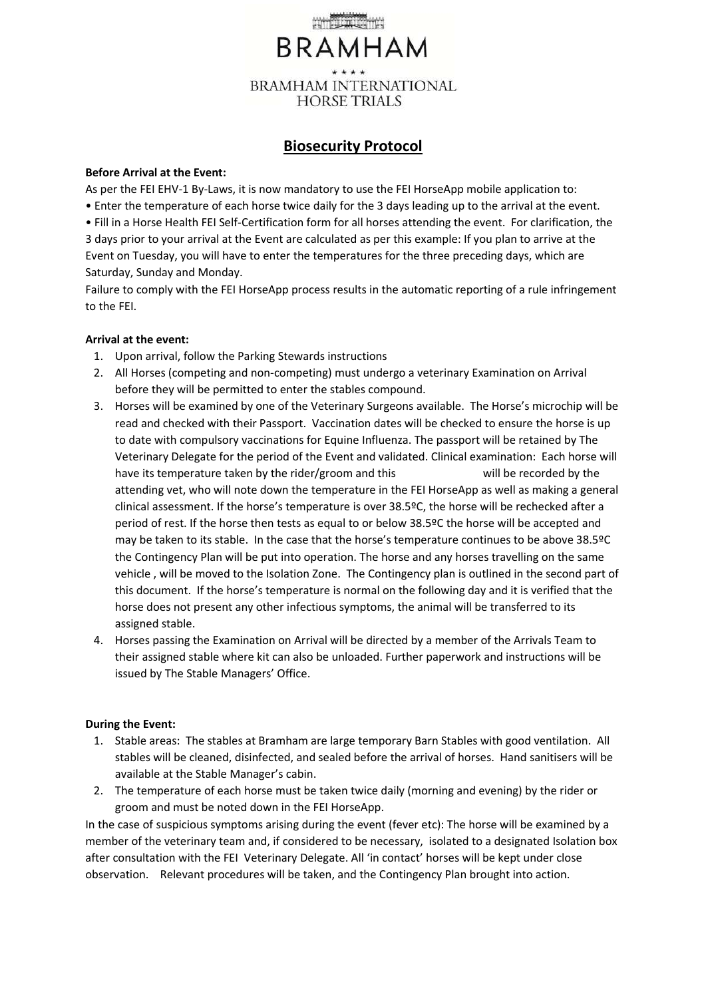

# **Biosecurity Protocol**

#### **Before Arrival at the Event:**

As per the FEI EHV-1 By-Laws, it is now mandatory to use the FEI HorseApp mobile application to: • Enter the temperature of each horse twice daily for the 3 days leading up to the arrival at the event. • Fill in a Horse Health FEI Self-Certification form for all horses attending the event. For clarification, the 3 days prior to your arrival at the Event are calculated as per this example: If you plan to arrive at the Event on Tuesday, you will have to enter the temperatures for the three preceding days, which are Saturday, Sunday and Monday.

Failure to comply with the FEI HorseApp process results in the automatic reporting of a rule infringement to the FEI.

#### **Arrival at the event:**

- 1. Upon arrival, follow the Parking Stewards instructions
- 2. All Horses (competing and non-competing) must undergo a veterinary Examination on Arrival before they will be permitted to enter the stables compound.
- 3. Horses will be examined by one of the Veterinary Surgeons available. The Horse's microchip will be read and checked with their Passport. Vaccination dates will be checked to ensure the horse is up to date with compulsory vaccinations for Equine Influenza. The passport will be retained by The Veterinary Delegate for the period of the Event and validated. Clinical examination: Each horse will have its temperature taken by the rider/groom and this will be recorded by the attending vet, who will note down the temperature in the FEI HorseApp as well as making a general clinical assessment. If the horse's temperature is over 38.5ºC, the horse will be rechecked after a period of rest. If the horse then tests as equal to or below 38.5ºC the horse will be accepted and may be taken to its stable. In the case that the horse's temperature continues to be above 38.5ºC the Contingency Plan will be put into operation. The horse and any horses travelling on the same vehicle , will be moved to the Isolation Zone. The Contingency plan is outlined in the second part of this document. If the horse's temperature is normal on the following day and it is verified that the horse does not present any other infectious symptoms, the animal will be transferred to its assigned stable.
- 4. Horses passing the Examination on Arrival will be directed by a member of the Arrivals Team to their assigned stable where kit can also be unloaded. Further paperwork and instructions will be issued by The Stable Managers' Office.

# **During the Event:**

- 1. Stable areas: The stables at Bramham are large temporary Barn Stables with good ventilation. All stables will be cleaned, disinfected, and sealed before the arrival of horses. Hand sanitisers will be available at the Stable Manager's cabin.
- 2. The temperature of each horse must be taken twice daily (morning and evening) by the rider or groom and must be noted down in the FEI HorseApp.

In the case of suspicious symptoms arising during the event (fever etc): The horse will be examined by a member of the veterinary team and, if considered to be necessary, isolated to a designated Isolation box after consultation with the FEI Veterinary Delegate. All 'in contact' horses will be kept under close observation. Relevant procedures will be taken, and the Contingency Plan brought into action.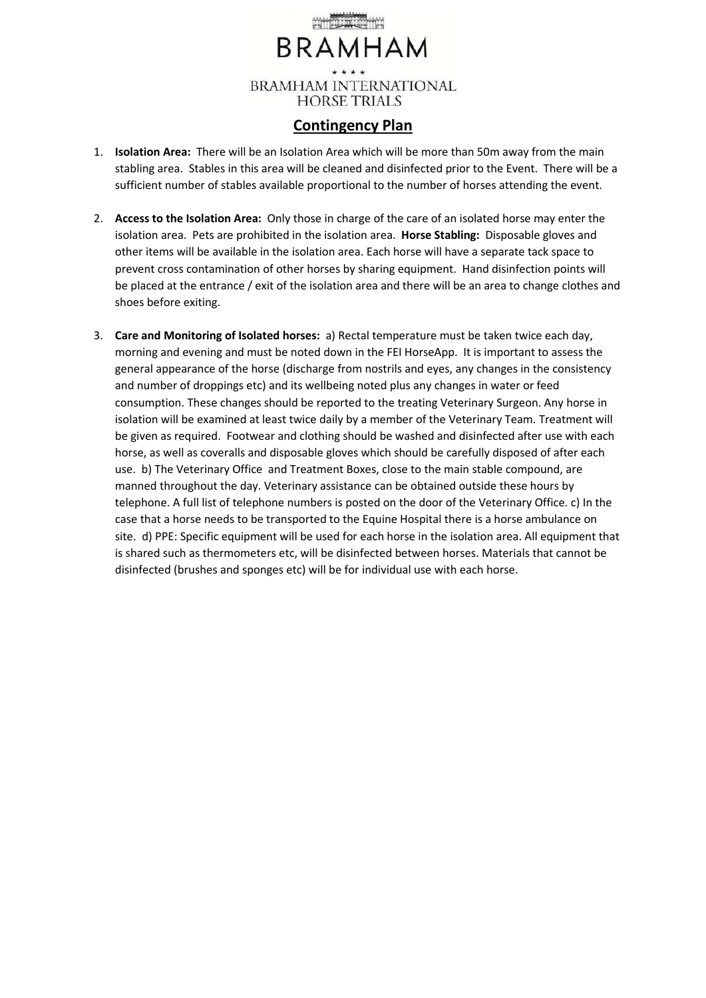# **BRAMHAM BRAMHAM INTERNATIONAL HORSE TRIALS**

# **Contingency Plan**

- 1. **Isolation Area:** There will be an Isolation Area which will be more than 50m away from the main stabling area. Stables in this area will be cleaned and disinfected prior to the Event. There will be a sufficient number of stables available proportional to the number of horses attending the event.
- 2. **Access to the Isolation Area:** Only those in charge of the care of an isolated horse may enter the isolation area. Pets are prohibited in the isolation area. **Horse Stabling:** Disposable gloves and other items will be available in the isolation area. Each horse will have a separate tack space to prevent cross contamination of other horses by sharing equipment. Hand disinfection points will be placed at the entrance / exit of the isolation area and there will be an area to change clothes and shoes before exiting.
- 3. **Care and Monitoring of Isolated horses:** a) Rectal temperature must be taken twice each day, morning and evening and must be noted down in the FEI HorseApp. It is important to assess the general appearance of the horse (discharge from nostrils and eyes, any changes in the consistency and number of droppings etc) and its wellbeing noted plus any changes in water or feed consumption. These changes should be reported to the treating Veterinary Surgeon. Any horse in isolation will be examined at least twice daily by a member of the Veterinary Team. Treatment will be given as required. Footwear and clothing should be washed and disinfected after use with each horse, as well as coveralls and disposable gloves which should be carefully disposed of after each use. b) The Veterinary Office and Treatment Boxes, close to the main stable compound, are manned throughout the day. Veterinary assistance can be obtained outside these hours by telephone. A full list of telephone numbers is posted on the door of the Veterinary Office. c) In the case that a horse needs to be transported to the Equine Hospital there is a horse ambulance on site. d) PPE: Specific equipment will be used for each horse in the isolation area. All equipment that is shared such as thermometers etc, will be disinfected between horses. Materials that cannot be disinfected (brushes and sponges etc) will be for individual use with each horse.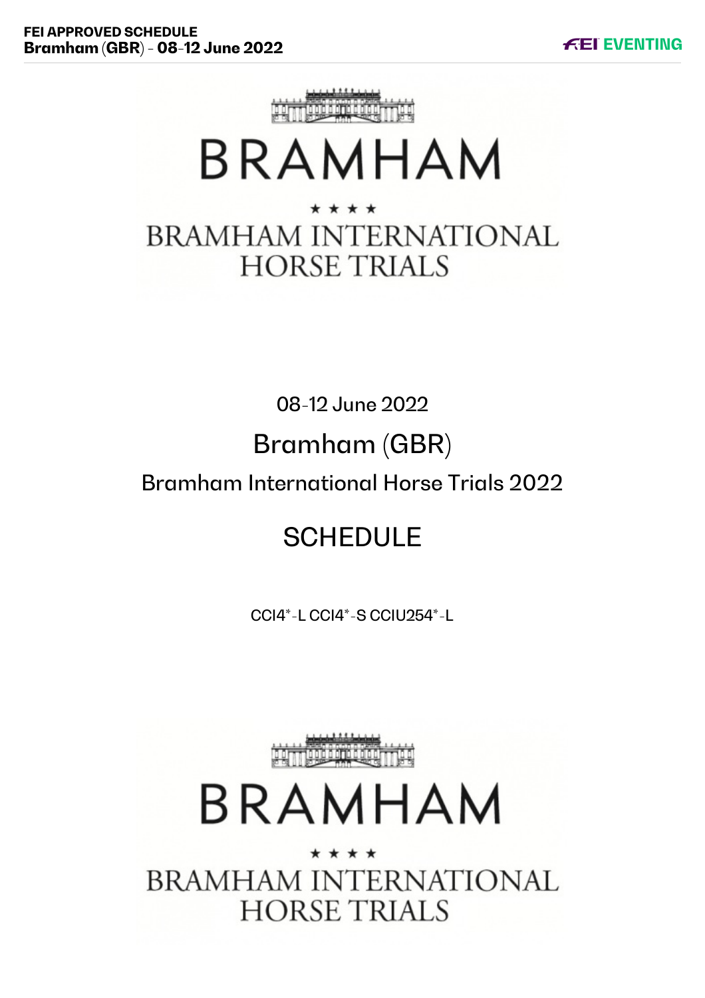

# **BRAMHAM**

# \* \* \* \* **BRAMHAM INTERNATIONAL HORSE TRIALS**

08-12 June 2022

# Bramham (GBR)

# Bramham International Horse Trials 2022

# **SCHEDULE**

CCI4\*-L CCI4\*-S CCIU254\*-L



# BRAMHAM

\* \* \* \* **BRAMHAM INTERNATIONAL HORSE TRIALS**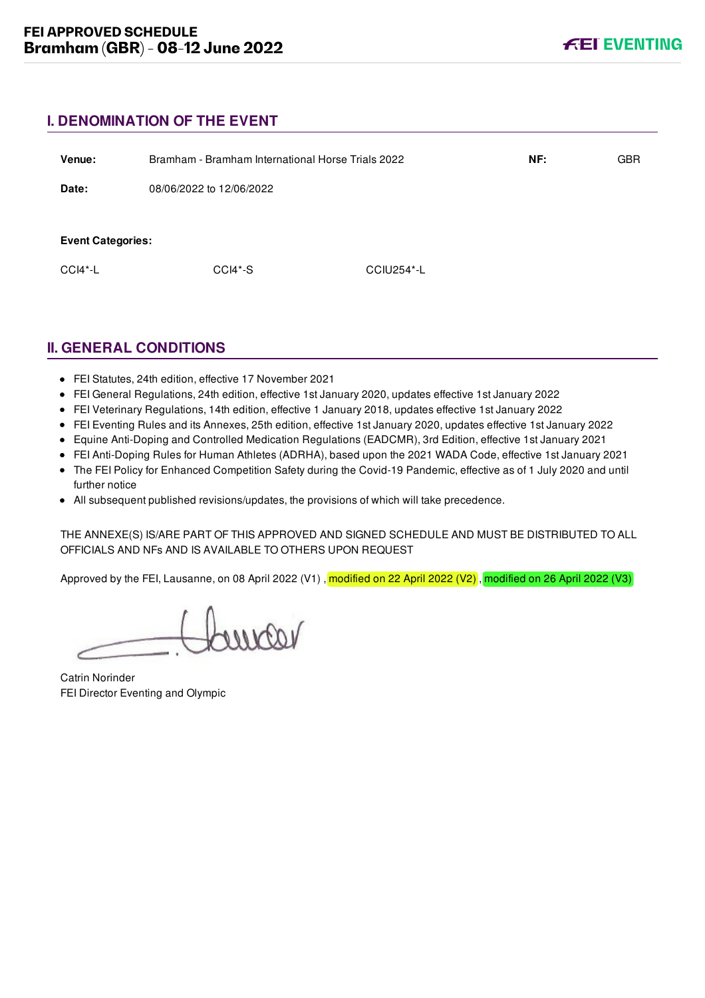# **I. DENOMINATION OF THE EVENT**

| Venue:                   | Bramham - Bramham International Horse Trials 2022 |            | NF: | <b>GBR</b> |
|--------------------------|---------------------------------------------------|------------|-----|------------|
| Date:                    | 08/06/2022 to 12/06/2022                          |            |     |            |
| <b>Event Categories:</b> |                                                   |            |     |            |
|                          |                                                   |            |     |            |
| $CCI4*-L$                | $CCI4*-S$                                         | CCIU254*-L |     |            |
|                          |                                                   |            |     |            |

# **II. GENERAL CONDITIONS**

- FEI Statutes, 24th edition, effective 17 November 2021
- FEI General Regulations, 24th edition, effective 1st January 2020, updates effective 1st January 2022
- FEI Veterinary Regulations, 14th edition, effective 1 January 2018, updates effective 1st January 2022
- FEI Eventing Rules and its Annexes, 25th edition, effective 1st January 2020, updates effective 1st January 2022
- Equine Anti-Doping and Controlled Medication Regulations (EADCMR), 3rd Edition, effective 1st January 2021
- FEI Anti-Doping Rules for Human Athletes (ADRHA), based upon the 2021 WADA Code, effective 1st January 2021
- The FEI Policy for Enhanced Competition Safety during the Covid-19 Pandemic, effective as of 1 July 2020 and until further notice
- All subsequent published revisions/updates, the provisions of which will take precedence.

THE ANNEXE(S) IS/ARE PART OF THIS APPROVED AND SIGNED SCHEDULE AND MUST BE DISTRIBUTED TO ALL OFFICIALS AND NFs AND IS AVAILABLE TO OTHERS UPON REQUEST

Approved by the FEI, Lausanne, on 08 April 2022 (V1), modified on 22 April 2022 (V2), modified on 26 April 2022 (V3)

voornor

Catrin Norinder FEI Director Eventing and Olympic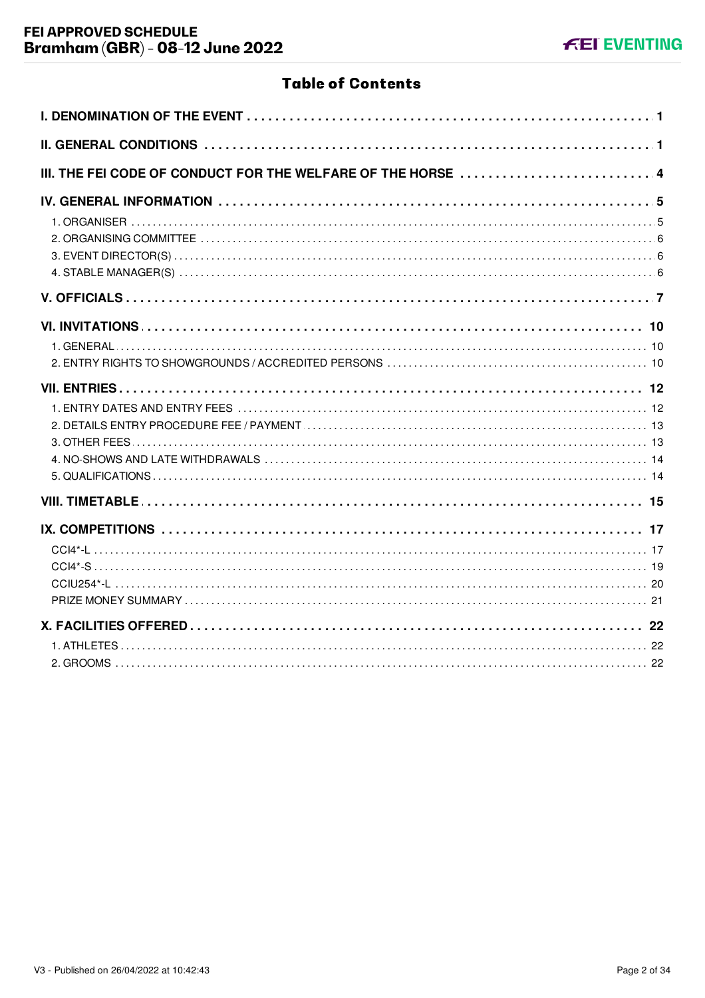# **Table of Contents**

| III. THE FEI CODE OF CONDUCT FOR THE WELFARE OF THE HORSE  4 |
|--------------------------------------------------------------|
|                                                              |
|                                                              |
|                                                              |
|                                                              |
|                                                              |
|                                                              |
|                                                              |
|                                                              |
|                                                              |
|                                                              |
|                                                              |
|                                                              |
|                                                              |
|                                                              |
|                                                              |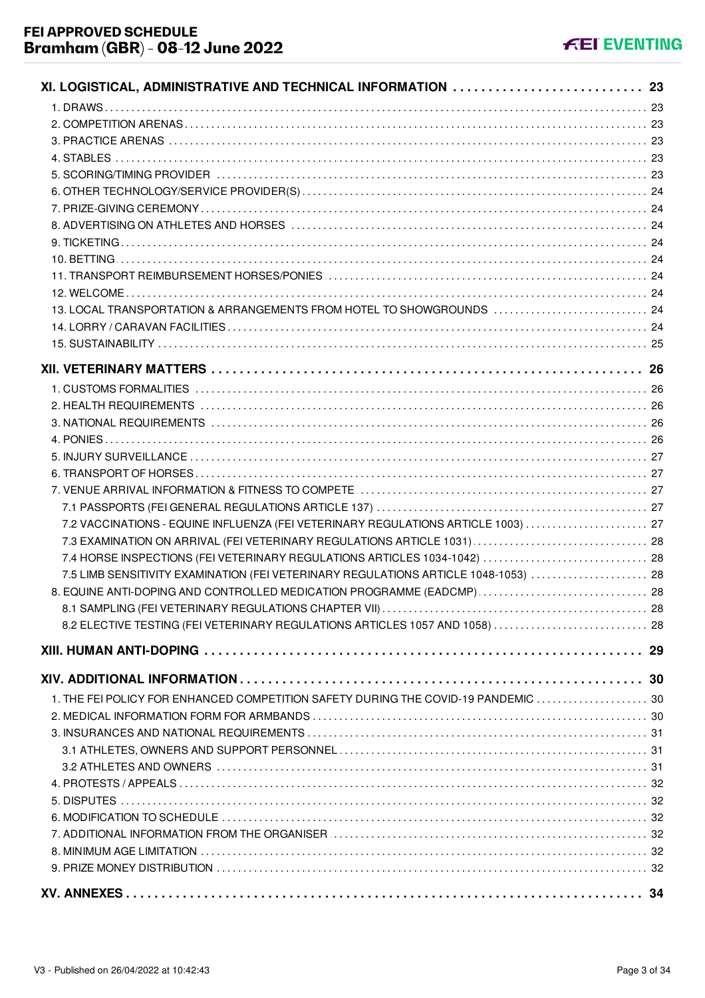| XI. LOGISTICAL, ADMINISTRATIVE AND TECHNICAL INFORMATION  23                        |    |
|-------------------------------------------------------------------------------------|----|
|                                                                                     |    |
|                                                                                     |    |
|                                                                                     |    |
|                                                                                     |    |
|                                                                                     |    |
|                                                                                     |    |
|                                                                                     |    |
|                                                                                     |    |
|                                                                                     |    |
|                                                                                     |    |
|                                                                                     |    |
|                                                                                     |    |
| 13. LOCAL TRANSPORTATION & ARRANGEMENTS FROM HOTEL TO SHOWGROUNDS  24               |    |
|                                                                                     |    |
|                                                                                     |    |
|                                                                                     |    |
|                                                                                     |    |
|                                                                                     |    |
|                                                                                     |    |
|                                                                                     |    |
|                                                                                     |    |
|                                                                                     |    |
|                                                                                     |    |
|                                                                                     |    |
| 7.2 VACCINATIONS - EQUINE INFLUENZA (FEI VETERINARY REGULATIONS ARTICLE 1003)  27   |    |
|                                                                                     |    |
| 7.4 HORSE INSPECTIONS (FEI VETERINARY REGULATIONS ARTICLES 1034-1042)  28           |    |
| 7.5 LIMB SENSITIVITY EXAMINATION (FEI VETERINARY REGULATIONS ARTICLE 1048-1053)  28 |    |
| 8. EQUINE ANTI-DOPING AND CONTROLLED MEDICATION PROGRAMME (EADCMP)  28              |    |
|                                                                                     | 28 |
| 8.2 ELECTIVE TESTING (FEI VETERINARY REGULATIONS ARTICLES 1057 AND 1058)  28        |    |
|                                                                                     |    |
|                                                                                     |    |
|                                                                                     |    |
| 1. THE FEI POLICY FOR ENHANCED COMPETITION SAFETY DURING THE COVID-19 PANDEMIC  30  |    |
|                                                                                     |    |
|                                                                                     |    |
|                                                                                     |    |
|                                                                                     |    |
|                                                                                     |    |
|                                                                                     |    |
|                                                                                     |    |
|                                                                                     |    |
|                                                                                     |    |
|                                                                                     |    |
|                                                                                     | 34 |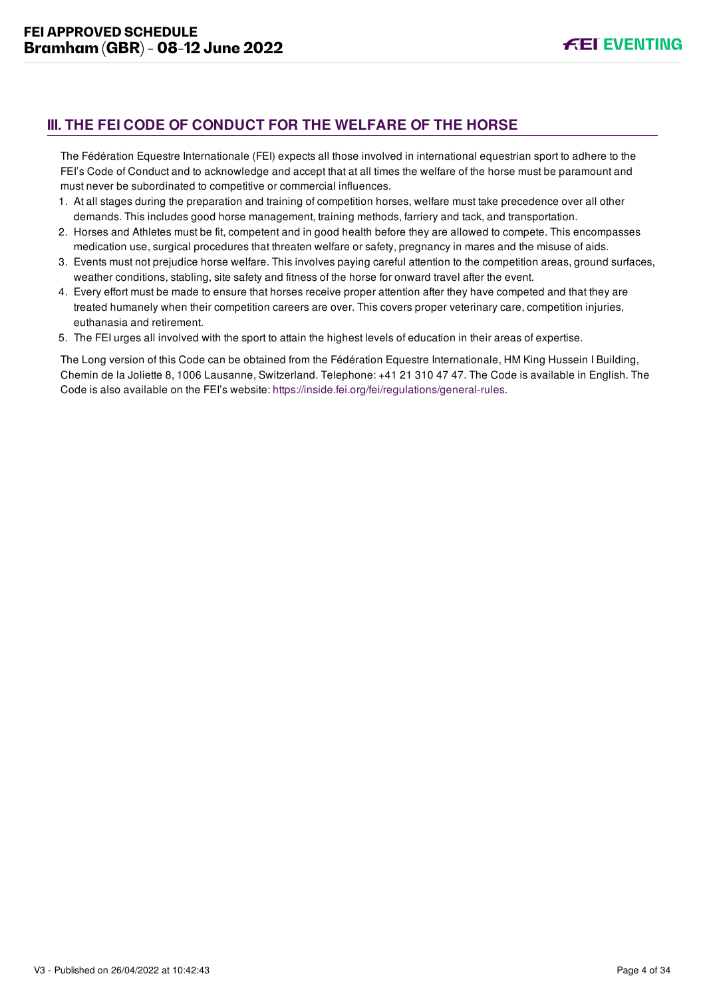# <span id="page-11-0"></span>**III. THE FEI CODE OF CONDUCT FOR THE WELFARE OF THE HORSE**

The Fédération Equestre Internationale (FEI) expects all those involved in international equestrian sport to adhere to the FEI's Code of Conduct and to acknowledge and accept that at all times the welfare of the horse must be paramount and must never be subordinated to competitive or commercial influences.

- 1. At all stages during the preparation and training of competition horses, welfare must take precedence over all other demands. This includes good horse management, training methods, farriery and tack, and transportation.
- 2. Horses and Athletes must be fit, competent and in good health before they are allowed to compete. This encompasses medication use, surgical procedures that threaten welfare or safety, pregnancy in mares and the misuse of aids.
- 3. Events must not prejudice horse welfare. This involves paying careful attention to the competition areas, ground surfaces, weather conditions, stabling, site safety and fitness of the horse for onward travel after the event.
- 4. Every effort must be made to ensure that horses receive proper attention after they have competed and that they are treated humanely when their competition careers are over. This covers proper veterinary care, competition injuries, euthanasia and retirement.
- 5. The FEI urges all involved with the sport to attain the highest levels of education in their areas of expertise.

The Long version of this Code can be obtained from the Fédération Equestre Internationale, HM King Hussein I Building, Chemin de la Joliette 8, 1006 Lausanne, Switzerland. Telephone: +41 21 310 47 47. The Code is available in English. The Code is also available on the FEI's website:<https://inside.fei.org/fei/regulations/general-rules>.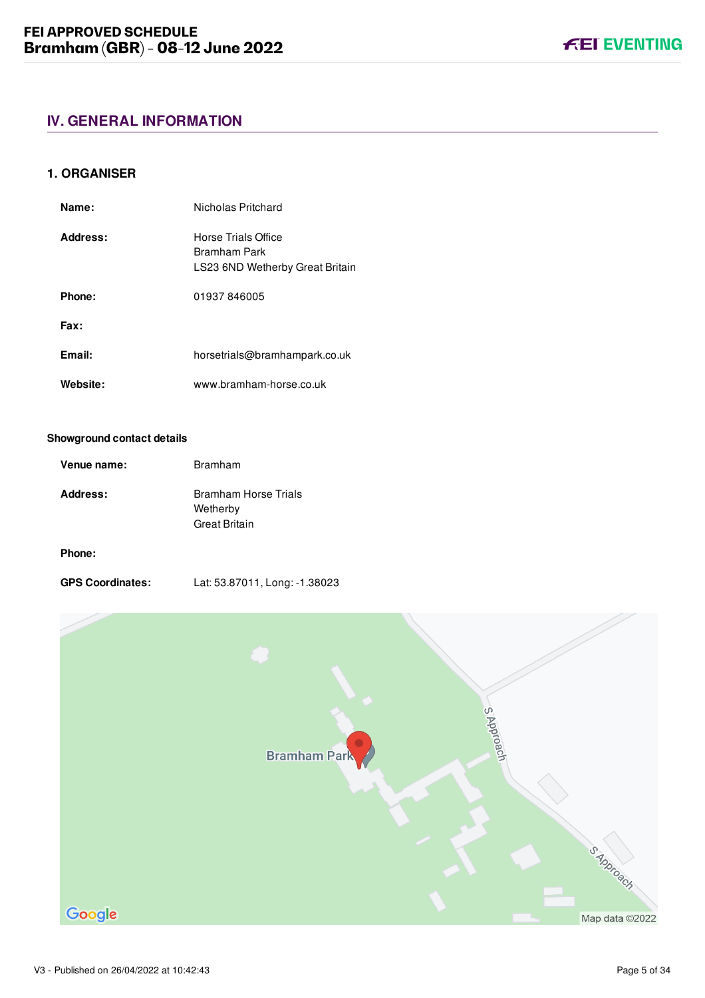#### <span id="page-12-1"></span><span id="page-12-0"></span>**1. ORGANISER**

| Name:    | Nicholas Pritchard                                                     |
|----------|------------------------------------------------------------------------|
| Address: | Horse Trials Office<br>Bramham Park<br>LS23 6ND Wetherby Great Britain |
| Phone:   | 01937846005                                                            |
| Fax:     |                                                                        |
| Email:   | horsetrials@bramhampark.co.uk                                          |
| Website: | www.bramham-horse.co.uk                                                |

#### **Showground contact details**

| Venue name: | Bramham                                                  |
|-------------|----------------------------------------------------------|
| Address:    | Bramham Horse Trials<br>Wetherby<br><b>Great Britain</b> |

#### **Phone:**

| <b>GPS Coordinates:</b> | Lat: 53.87011, Long: -1.38023 |
|-------------------------|-------------------------------|
|-------------------------|-------------------------------|



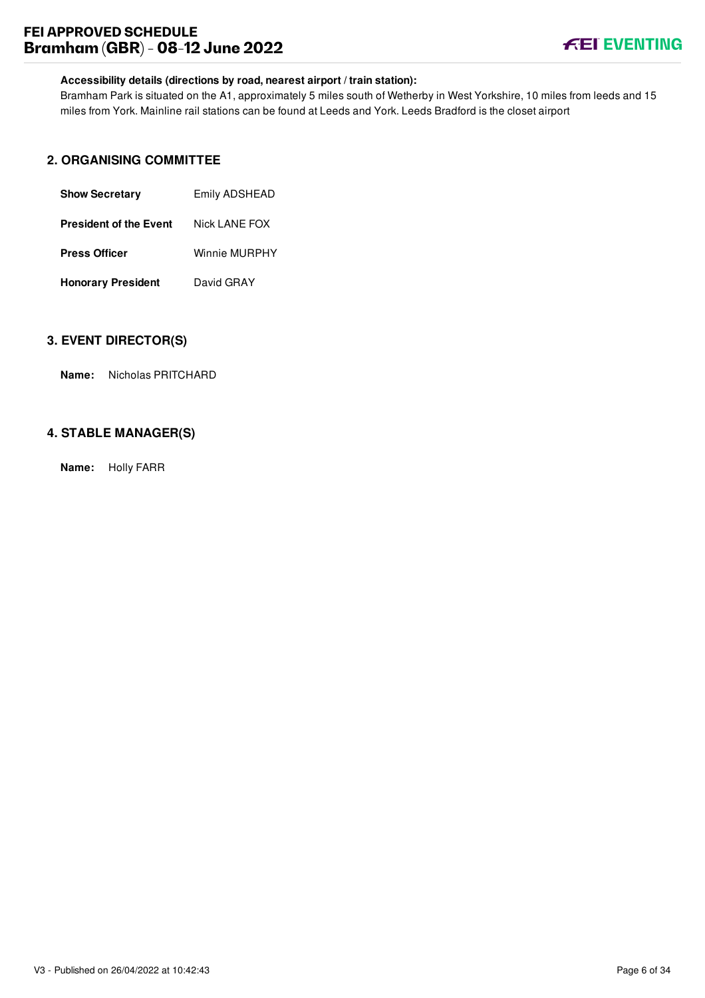# **FEI APPROVED SCHEDULE Bramham (GBR) - 08-12 June 2022**



# **Accessibility details (directions by road, nearest airport / train station):**

Bramham Park is situated on the A1, approximately 5 miles south of Wetherby in West Yorkshire, 10 miles from leeds and 15 miles from York. Mainline rail stations can be found at Leeds and York. Leeds Bradford is the closet airport

# <span id="page-13-0"></span>**2. ORGANISING COMMITTEE**

| <b>Show Secretary</b>         | Emily ADSHEAD |  |
|-------------------------------|---------------|--|
| <b>President of the Event</b> | Nick LANE FOX |  |
| <b>Press Officer</b>          | Winnie MURPHY |  |
| <b>Honorary President</b>     | David GRAY    |  |

# <span id="page-13-1"></span>**3. EVENT DIRECTOR(S)**

**Name:** Nicholas PRITCHARD

# <span id="page-13-2"></span>**4. STABLE MANAGER(S)**

**Name:** Holly FARR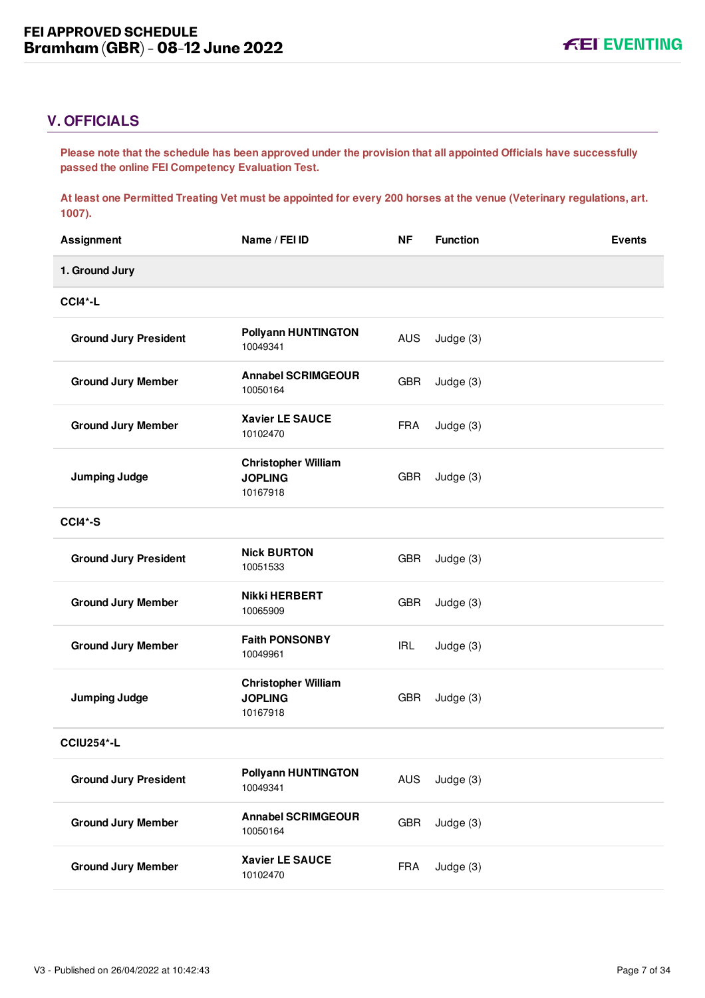# <span id="page-14-0"></span>**V. OFFICIALS**

**Please note that the schedule has been approved under the provision that all appointed Officials have successfully passed the online FEI Competency Evaluation Test.** 

**At least one Permitted Treating Vet must be appointed for every 200 horses at the venue (Veterinary regulations, art. 1007).**

| <b>Assignment</b>            | Name / FEI ID                                            | <b>NF</b>  | <b>Function</b> | <b>Events</b> |
|------------------------------|----------------------------------------------------------|------------|-----------------|---------------|
| 1. Ground Jury               |                                                          |            |                 |               |
| <b>CCI4*-L</b>               |                                                          |            |                 |               |
| <b>Ground Jury President</b> | <b>Pollyann HUNTINGTON</b><br>10049341                   | <b>AUS</b> | Judge (3)       |               |
| <b>Ground Jury Member</b>    | <b>Annabel SCRIMGEOUR</b><br>10050164                    | <b>GBR</b> | Judge (3)       |               |
| <b>Ground Jury Member</b>    | <b>Xavier LE SAUCE</b><br>10102470                       | <b>FRA</b> | Judge (3)       |               |
| <b>Jumping Judge</b>         | <b>Christopher William</b><br><b>JOPLING</b><br>10167918 | <b>GBR</b> | Judge (3)       |               |
| <b>CCI4*-S</b>               |                                                          |            |                 |               |
| <b>Ground Jury President</b> | <b>Nick BURTON</b><br>10051533                           | <b>GBR</b> | Judge (3)       |               |
| <b>Ground Jury Member</b>    | <b>Nikki HERBERT</b><br>10065909                         | <b>GBR</b> | Judge (3)       |               |
| <b>Ground Jury Member</b>    | <b>Faith PONSONBY</b><br>10049961                        | <b>IRL</b> | Judge (3)       |               |
| <b>Jumping Judge</b>         | <b>Christopher William</b><br><b>JOPLING</b><br>10167918 | <b>GBR</b> | Judge (3)       |               |
| <b>CCIU254*-L</b>            |                                                          |            |                 |               |
| <b>Ground Jury President</b> | <b>Pollyann HUNTINGTON</b><br>10049341                   | AUS        | Judge (3)       |               |
| <b>Ground Jury Member</b>    | <b>Annabel SCRIMGEOUR</b><br>10050164                    | <b>GBR</b> | Judge (3)       |               |
| <b>Ground Jury Member</b>    | Xavier LE SAUCE<br>10102470                              | <b>FRA</b> | Judge (3)       |               |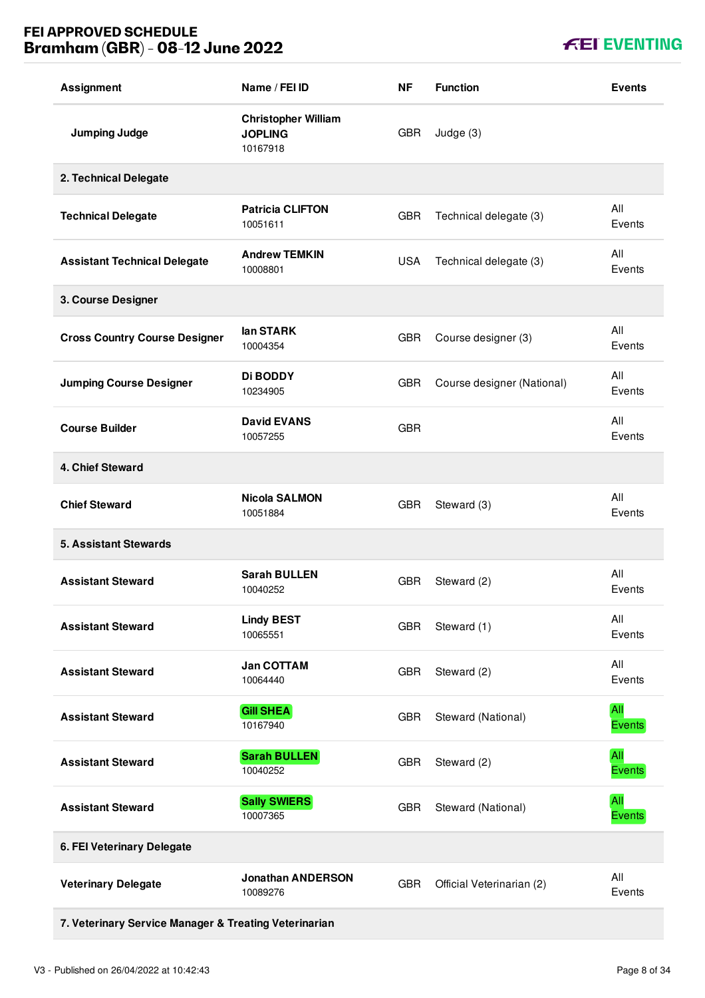# **FEI APPROVED SCHEDULE Bramham (GBR) - 08-12 June 2022**

|  |  | <b>FEI EVENTING</b> |
|--|--|---------------------|
|--|--|---------------------|

| <b>Assignment</b>                                     | Name / FEI ID                                            | ΝF         | <b>Function</b>            | <b>Events</b>               |
|-------------------------------------------------------|----------------------------------------------------------|------------|----------------------------|-----------------------------|
| <b>Jumping Judge</b>                                  | <b>Christopher William</b><br><b>JOPLING</b><br>10167918 | <b>GBR</b> | Judge (3)                  |                             |
| 2. Technical Delegate                                 |                                                          |            |                            |                             |
| <b>Technical Delegate</b>                             | <b>Patricia CLIFTON</b><br>10051611                      | <b>GBR</b> | Technical delegate (3)     | All<br>Events               |
| <b>Assistant Technical Delegate</b>                   | <b>Andrew TEMKIN</b><br>10008801                         | <b>USA</b> | Technical delegate (3)     | All<br>Events               |
| 3. Course Designer                                    |                                                          |            |                            |                             |
| <b>Cross Country Course Designer</b>                  | lan STARK<br>10004354                                    | <b>GBR</b> | Course designer (3)        | All<br>Events               |
| <b>Jumping Course Designer</b>                        | <b>Di BODDY</b><br>10234905                              | <b>GBR</b> | Course designer (National) | All<br>Events               |
| <b>Course Builder</b>                                 | <b>David EVANS</b><br>10057255                           | <b>GBR</b> |                            | All<br>Events               |
| 4. Chief Steward                                      |                                                          |            |                            |                             |
| <b>Chief Steward</b>                                  | <b>Nicola SALMON</b><br>10051884                         | <b>GBR</b> | Steward (3)                | All<br>Events               |
| <b>5. Assistant Stewards</b>                          |                                                          |            |                            |                             |
| <b>Assistant Steward</b>                              | <b>Sarah BULLEN</b><br>10040252                          | <b>GBR</b> | Steward (2)                | All<br>Events               |
| <b>Assistant Steward</b>                              | <b>Lindy BEST</b><br>10065551                            | <b>GBR</b> | Steward (1)                | All<br>Events               |
| <b>Assistant Steward</b>                              | <b>Jan COTTAM</b><br>10064440                            | <b>GBR</b> | Steward (2)                | All<br>Events               |
| <b>Assistant Steward</b>                              | <b>Gill SHEA</b><br>10167940                             | <b>GBR</b> | Steward (National)         | All<br><b>Events</b>        |
| <b>Assistant Steward</b>                              | <b>Sarah BULLEN</b><br>10040252                          | <b>GBR</b> | Steward (2)                | <b>All</b><br><b>Events</b> |
| <b>Assistant Steward</b>                              | <b>Sally SWIERS</b><br>10007365                          | <b>GBR</b> | Steward (National)         | All<br><b>Events</b>        |
| 6. FEI Veterinary Delegate                            |                                                          |            |                            |                             |
| <b>Veterinary Delegate</b>                            | <b>Jonathan ANDERSON</b><br>10089276                     | <b>GBR</b> | Official Veterinarian (2)  | All<br>Events               |
| 7. Veterinary Service Manager & Treating Veterinarian |                                                          |            |                            |                             |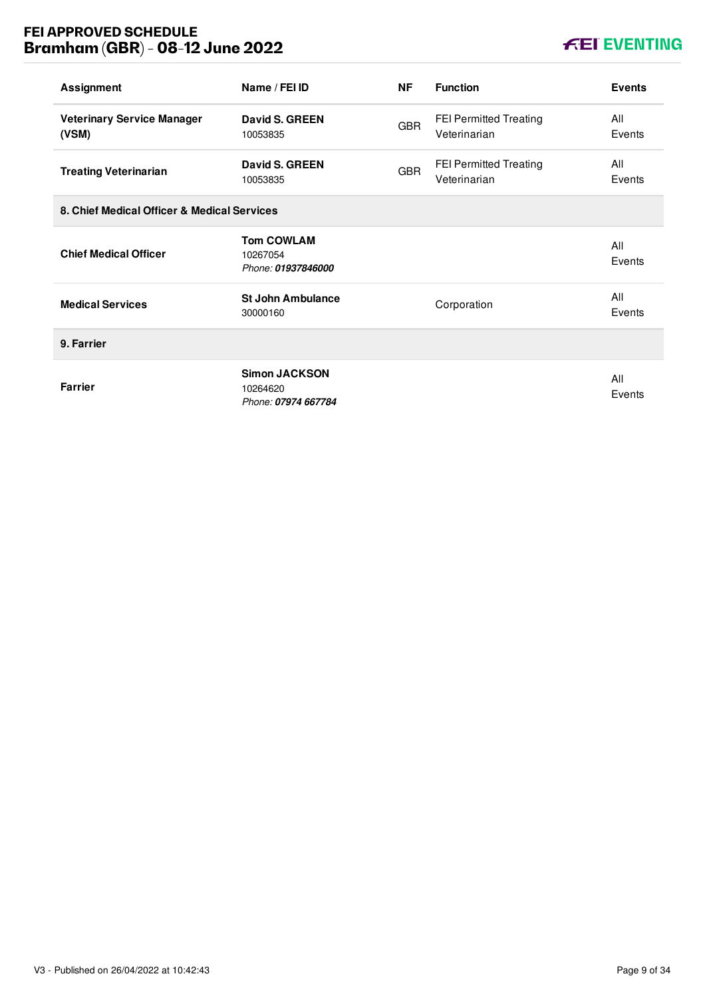# **FEI APPROVED SCHEDULE Bramham (GBR) - 08-12 June 2022**

# **KEI EVENTING**

| <b>Assignment</b>                           | Name / FEI ID                                           | <b>NF</b>  | <b>Function</b>                               | <b>Events</b> |
|---------------------------------------------|---------------------------------------------------------|------------|-----------------------------------------------|---------------|
| <b>Veterinary Service Manager</b><br>(VSM)  | David S. GREEN<br>10053835                              | <b>GBR</b> | <b>FEI Permitted Treating</b><br>Veterinarian | All<br>Events |
| <b>Treating Veterinarian</b>                | <b>David S. GREEN</b><br>10053835                       | <b>GBR</b> | <b>FEI Permitted Treating</b><br>Veterinarian | All<br>Events |
| 8. Chief Medical Officer & Medical Services |                                                         |            |                                               |               |
| <b>Chief Medical Officer</b>                | <b>Tom COWLAM</b><br>10267054<br>Phone: 01937846000     |            |                                               | All<br>Events |
| <b>Medical Services</b>                     | <b>St John Ambulance</b><br>30000160                    |            | Corporation                                   | All<br>Events |
| 9. Farrier                                  |                                                         |            |                                               |               |
| <b>Farrier</b>                              | <b>Simon JACKSON</b><br>10264620<br>Phone: 07974 667784 |            |                                               | All<br>Events |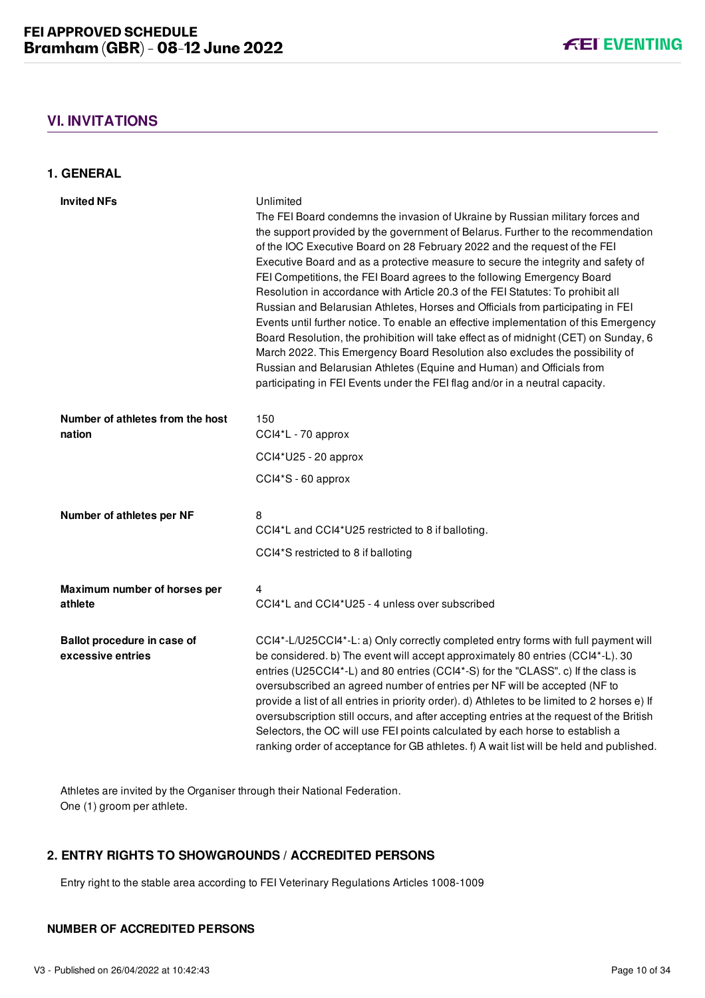# <span id="page-17-0"></span>**VI. INVITATIONS**

<span id="page-17-1"></span>**1. GENERAL**

| <b>Invited NFs</b>                               | Unlimited<br>The FEI Board condemns the invasion of Ukraine by Russian military forces and<br>the support provided by the government of Belarus. Further to the recommendation<br>of the IOC Executive Board on 28 February 2022 and the request of the FEI<br>Executive Board and as a protective measure to secure the integrity and safety of<br>FEI Competitions, the FEI Board agrees to the following Emergency Board<br>Resolution in accordance with Article 20.3 of the FEI Statutes: To prohibit all<br>Russian and Belarusian Athletes, Horses and Officials from participating in FEI<br>Events until further notice. To enable an effective implementation of this Emergency<br>Board Resolution, the prohibition will take effect as of midnight (CET) on Sunday, 6<br>March 2022. This Emergency Board Resolution also excludes the possibility of<br>Russian and Belarusian Athletes (Equine and Human) and Officials from<br>participating in FEI Events under the FEI flag and/or in a neutral capacity. |
|--------------------------------------------------|----------------------------------------------------------------------------------------------------------------------------------------------------------------------------------------------------------------------------------------------------------------------------------------------------------------------------------------------------------------------------------------------------------------------------------------------------------------------------------------------------------------------------------------------------------------------------------------------------------------------------------------------------------------------------------------------------------------------------------------------------------------------------------------------------------------------------------------------------------------------------------------------------------------------------------------------------------------------------------------------------------------------------|
| Number of athletes from the host<br>nation       | 150<br>CCI4*L - 70 approx                                                                                                                                                                                                                                                                                                                                                                                                                                                                                                                                                                                                                                                                                                                                                                                                                                                                                                                                                                                                  |
|                                                  | $CCI4*U25 - 20$ approx                                                                                                                                                                                                                                                                                                                                                                                                                                                                                                                                                                                                                                                                                                                                                                                                                                                                                                                                                                                                     |
|                                                  | CCI4*S - 60 approx                                                                                                                                                                                                                                                                                                                                                                                                                                                                                                                                                                                                                                                                                                                                                                                                                                                                                                                                                                                                         |
| Number of athletes per NF                        | 8<br>CCI4*L and CCI4*U25 restricted to 8 if balloting.                                                                                                                                                                                                                                                                                                                                                                                                                                                                                                                                                                                                                                                                                                                                                                                                                                                                                                                                                                     |
|                                                  | CCI4*S restricted to 8 if balloting                                                                                                                                                                                                                                                                                                                                                                                                                                                                                                                                                                                                                                                                                                                                                                                                                                                                                                                                                                                        |
| Maximum number of horses per<br>athlete          | 4<br>CCI4*L and CCI4*U25 - 4 unless over subscribed                                                                                                                                                                                                                                                                                                                                                                                                                                                                                                                                                                                                                                                                                                                                                                                                                                                                                                                                                                        |
| Ballot procedure in case of<br>excessive entries | CCI4*-L/U25CCI4*-L: a) Only correctly completed entry forms with full payment will<br>be considered. b) The event will accept approximately 80 entries (CCI4*-L). 30<br>entries (U25CCI4*-L) and 80 entries (CCI4*-S) for the "CLASS". c) If the class is<br>oversubscribed an agreed number of entries per NF will be accepted (NF to<br>provide a list of all entries in priority order). d) Athletes to be limited to 2 horses e) If<br>oversubscription still occurs, and after accepting entries at the request of the British<br>Selectors, the OC will use FEI points calculated by each horse to establish a<br>ranking order of acceptance for GB athletes. f) A wait list will be held and published.                                                                                                                                                                                                                                                                                                            |

Athletes are invited by the Organiser through their National Federation. One (1) groom per athlete.

# <span id="page-17-2"></span>**2. ENTRY RIGHTS TO SHOWGROUNDS / ACCREDITED PERSONS**

Entry right to the stable area according to FEI Veterinary Regulations Articles 1008-1009

#### **NUMBER OF ACCREDITED PERSONS**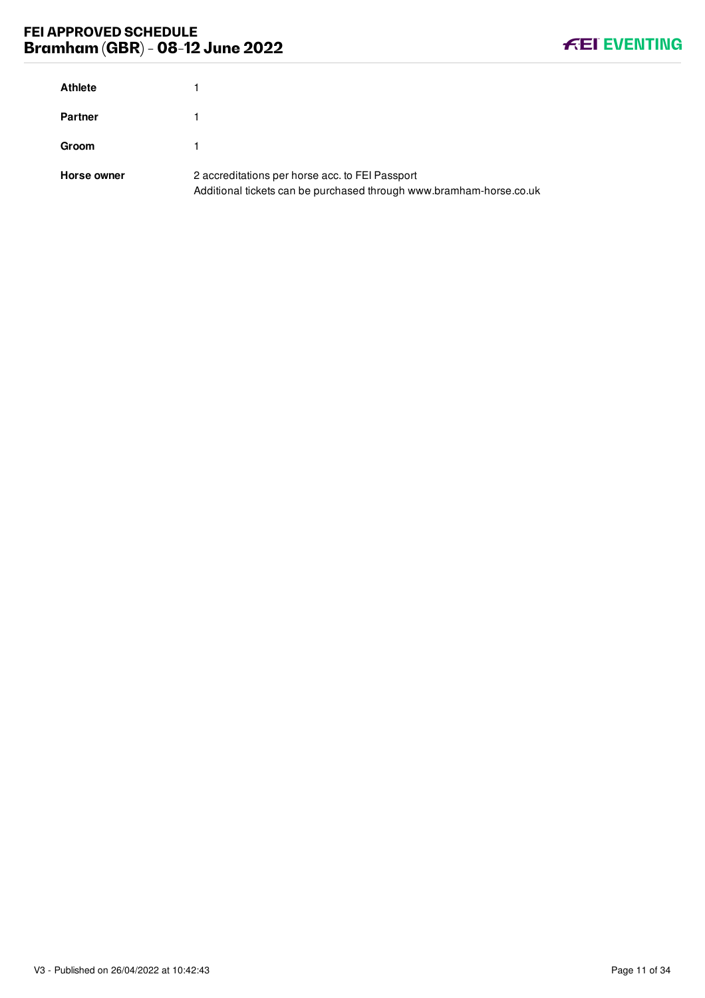# **FEI APPROVED SCHEDULE Bramham (GBR) - 08-12 June 2022**



| <b>Athlete</b> |                                                                                                                        |
|----------------|------------------------------------------------------------------------------------------------------------------------|
| <b>Partner</b> |                                                                                                                        |
| <b>Groom</b>   |                                                                                                                        |
| Horse owner    | 2 accreditations per horse acc. to FEI Passport<br>Additional tickets can be purchased through www.bramham-horse.co.uk |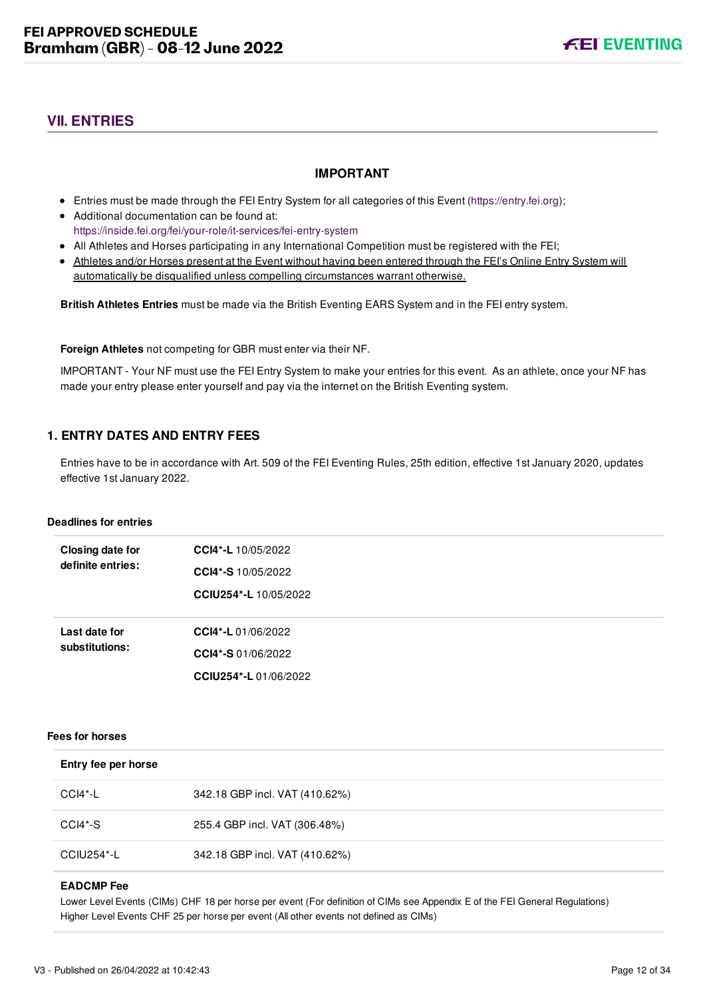# <span id="page-19-0"></span>**VII. ENTRIES**

#### **IMPORTANT**

- Entries must be made through the FEI Entry System for all categories of this Event ([https://entry.fei.org\)](https://entry.fei.org);
- Additional documentation can be found at: <https://inside.fei.org/fei/your-role/it-services/fei-entry-system>
- All Athletes and Horses participating in any International Competition must be registered with the FEI;
- Athletes and/or Horses present at the Event without having been entered through the FEI's Online Entry System will automatically be disqualified unless compelling circumstances warrant otherwise.

**British Athletes Entries** must be made via the British Eventing EARS System and in the FEI entry system.

**Foreign Athletes** not competing for GBR must enter via their NF.

IMPORTANT - Your NF must use the FEI Entry System to make your entries for this event. As an athlete, once your NF has made your entry please enter yourself and pay via the internet on the British Eventing system.

# <span id="page-19-1"></span>**1. ENTRY DATES AND ENTRY FEES**

Entries have to be in accordance with Art. 509 of the FEI Eventing Rules, 25th edition, effective 1st January 2020, updates effective 1st January 2022.

#### **Deadlines for entries**

| Closing date for<br>definite entries: | CCI4*-L 10/05/2022    |
|---------------------------------------|-----------------------|
|                                       | CCI4*-S 10/05/2022    |
|                                       | CCIU254*-L 10/05/2022 |
|                                       |                       |
| Last date for                         | CCI4*-L 01/06/2022    |
| substitutions:                        | CCI4*-S 01/06/2022    |
|                                       | CCIU254*-L01/06/2022  |

#### **Fees for horses**

| Entry fee per horse |                                |
|---------------------|--------------------------------|
| CCI4*-L             | 342.18 GBP incl. VAT (410.62%) |
| CCI4*-S             | 255.4 GBP incl. VAT (306.48%)  |
| CCIU254*-L          | 342.18 GBP incl. VAT (410.62%) |

#### **EADCMP Fee**

Lower Level Events (CIMs) CHF 18 per horse per event (For definition of CIMs see Appendix E of the FEI General Regulations) Higher Level Events CHF 25 per horse per event (All other events not defined as CIMs)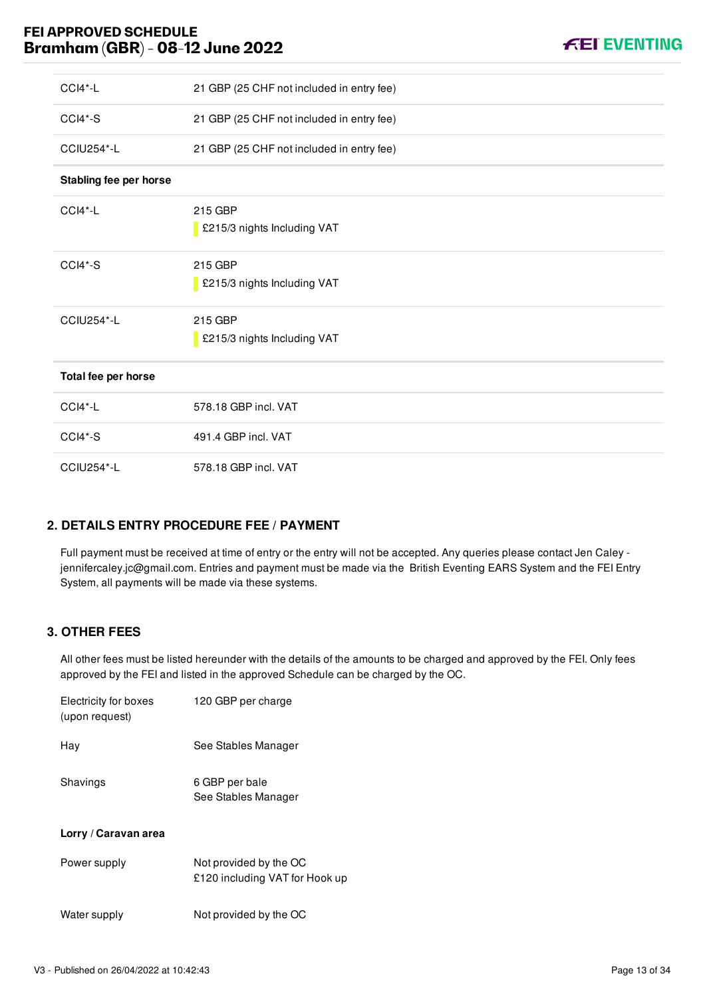# **FEI APPROVED SCHEDULE Bramham (GBR) - 08-12 June 2022**



| $CCI4*-L$              | 21 GBP (25 CHF not included in entry fee) |
|------------------------|-------------------------------------------|
| CCI4*-S                | 21 GBP (25 CHF not included in entry fee) |
| <b>CCIU254*-L</b>      | 21 GBP (25 CHF not included in entry fee) |
| Stabling fee per horse |                                           |
| CCI4*-L                | 215 GBP<br>£215/3 nights Including VAT    |
| CCI4*-S                | 215 GBP<br>£215/3 nights Including VAT    |
| <b>CCIU254*-L</b>      | 215 GBP<br>£215/3 nights Including VAT    |
| Total fee per horse    |                                           |
| CCI4*-L                | 578.18 GBP incl. VAT                      |
| CCI4*-S                | 491.4 GBP incl. VAT                       |
| <b>CCIU254*-L</b>      | 578.18 GBP incl. VAT                      |

# <span id="page-20-0"></span>**2. DETAILS ENTRY PROCEDURE FEE / PAYMENT**

Full payment must be received at time of entry or the entry will not be accepted. Any queries please contact Jen Caley jennifercaley.jc@gmail.com. Entries and payment must be made via the British Eventing EARS System and the FEI Entry System, all payments will be made via these systems.

# <span id="page-20-1"></span>**3. OTHER FEES**

All other fees must be listed hereunder with the details of the amounts to be charged and approved by the FEI. Only fees approved by the FEI and listed in the approved Schedule can be charged by the OC.

| Electricity for boxes<br>(upon request) | 120 GBP per charge                                       |
|-----------------------------------------|----------------------------------------------------------|
| Hav                                     | See Stables Manager                                      |
| Shavings                                | 6 GBP per bale<br>See Stables Manager                    |
| Lorry / Caravan area                    |                                                          |
| Power supply                            | Not provided by the OC<br>£120 including VAT for Hook up |
| Water supply                            | Not provided by the OC                                   |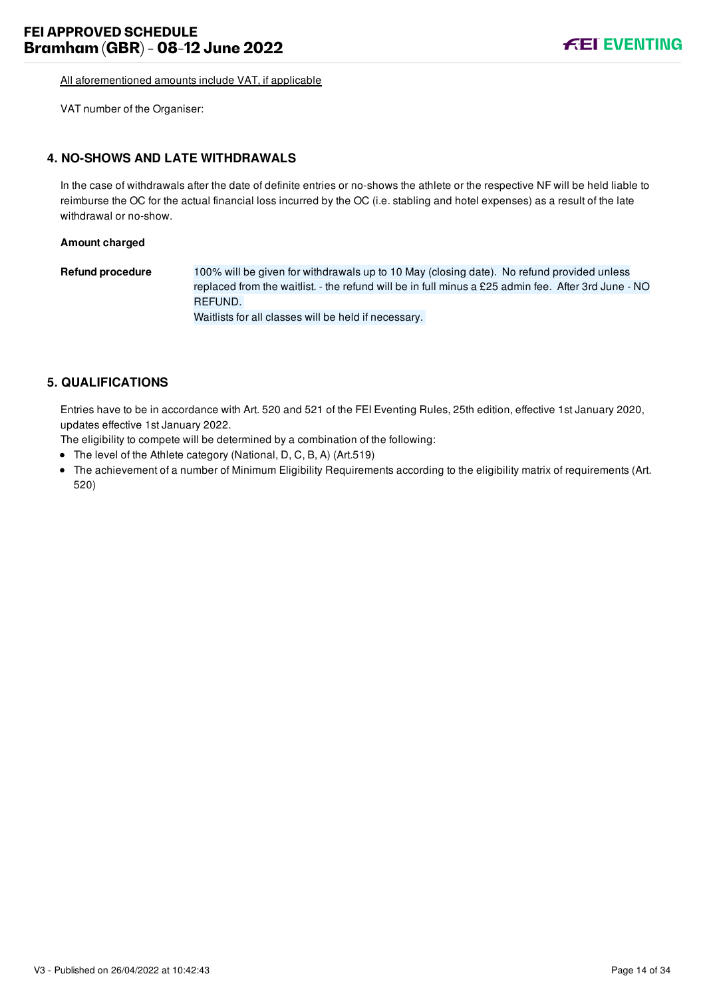All aforementioned amounts include VAT, if applicable

VAT number of the Organiser:

#### <span id="page-21-0"></span>**4. NO-SHOWS AND LATE WITHDRAWALS**

In the case of withdrawals after the date of definite entries or no-shows the athlete or the respective NF will be held liable to reimburse the OC for the actual financial loss incurred by the OC (i.e. stabling and hotel expenses) as a result of the late withdrawal or no-show.

**Amount charged**

**Refund procedure** 100% will be given for withdrawals up to 10 May (closing date). No refund provided unless replaced from the waitlist. - the refund will be in full minus a £25 admin fee. After 3rd June - NO REFUND. Waitlists for all classes will be held if necessary.

# <span id="page-21-1"></span>**5. QUALIFICATIONS**

Entries have to be in accordance with Art. 520 and 521 of the FEI Eventing Rules, 25th edition, effective 1st January 2020, updates effective 1st January 2022.

The eligibility to compete will be determined by a combination of the following:

- The level of the Athlete category (National, D, C, B, A) (Art.519)
- The achievement of a number of Minimum Eligibility Requirements according to the eligibility matrix of requirements (Art. 520)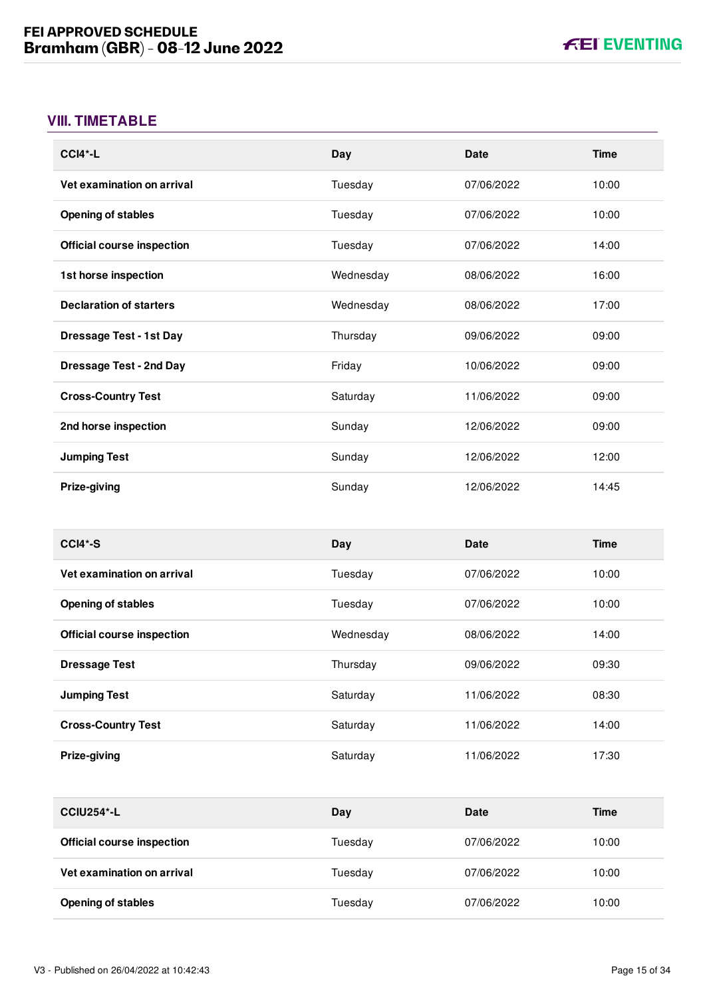# <span id="page-22-0"></span>**VIII. TIMETABLE**

| $CCI4*-L$                         | Day       | Date       | <b>Time</b> |
|-----------------------------------|-----------|------------|-------------|
| Vet examination on arrival        | Tuesday   | 07/06/2022 | 10:00       |
| <b>Opening of stables</b>         | Tuesday   | 07/06/2022 | 10:00       |
| <b>Official course inspection</b> | Tuesday   | 07/06/2022 | 14:00       |
| 1st horse inspection              | Wednesday | 08/06/2022 | 16:00       |
| <b>Declaration of starters</b>    | Wednesday | 08/06/2022 | 17:00       |
| <b>Dressage Test - 1st Day</b>    | Thursday  | 09/06/2022 | 09:00       |
| <b>Dressage Test - 2nd Day</b>    | Friday    | 10/06/2022 | 09:00       |
| <b>Cross-Country Test</b>         | Saturday  | 11/06/2022 | 09:00       |
| 2nd horse inspection              | Sunday    | 12/06/2022 | 09:00       |
| <b>Jumping Test</b>               | Sunday    | 12/06/2022 | 12:00       |
| Prize-giving                      | Sunday    | 12/06/2022 | 14:45       |

| $CCI4*-S$                         | Day       | Date       | <b>Time</b> |
|-----------------------------------|-----------|------------|-------------|
| Vet examination on arrival        | Tuesday   | 07/06/2022 | 10:00       |
| <b>Opening of stables</b>         | Tuesday   | 07/06/2022 | 10:00       |
| <b>Official course inspection</b> | Wednesday | 08/06/2022 | 14:00       |
| <b>Dressage Test</b>              | Thursday  | 09/06/2022 | 09:30       |
| <b>Jumping Test</b>               | Saturday  | 11/06/2022 | 08:30       |
| <b>Cross-Country Test</b>         | Saturday  | 11/06/2022 | 14:00       |
| Prize-giving                      | Saturday  | 11/06/2022 | 17:30       |

| <b>CCIU254*-L</b>                 | Day     | Date       | Time  |
|-----------------------------------|---------|------------|-------|
| <b>Official course inspection</b> | Tuesday | 07/06/2022 | 10:00 |
| Vet examination on arrival        | Tuesday | 07/06/2022 | 10:00 |
| <b>Opening of stables</b>         | Tuesday | 07/06/2022 | 10:00 |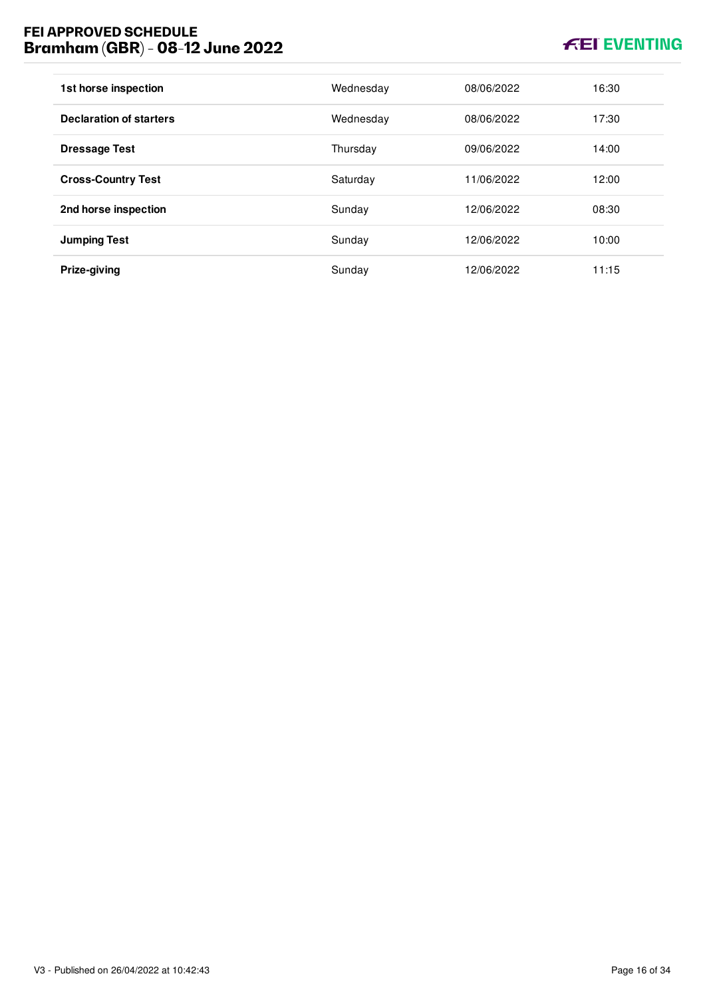# **FEI APPROVED SCHEDULE Bramham (GBR) - 08-12 June 2022**

# **KEI EVENTING**

| 1st horse inspection           | Wednesday | 08/06/2022 | 16:30 |
|--------------------------------|-----------|------------|-------|
| <b>Declaration of starters</b> | Wednesday | 08/06/2022 | 17:30 |
| <b>Dressage Test</b>           | Thursday  | 09/06/2022 | 14:00 |
| <b>Cross-Country Test</b>      | Saturday  | 11/06/2022 | 12:00 |
| 2nd horse inspection           | Sunday    | 12/06/2022 | 08:30 |
| <b>Jumping Test</b>            | Sunday    | 12/06/2022 | 10:00 |
| Prize-giving                   | Sunday    | 12/06/2022 | 11:15 |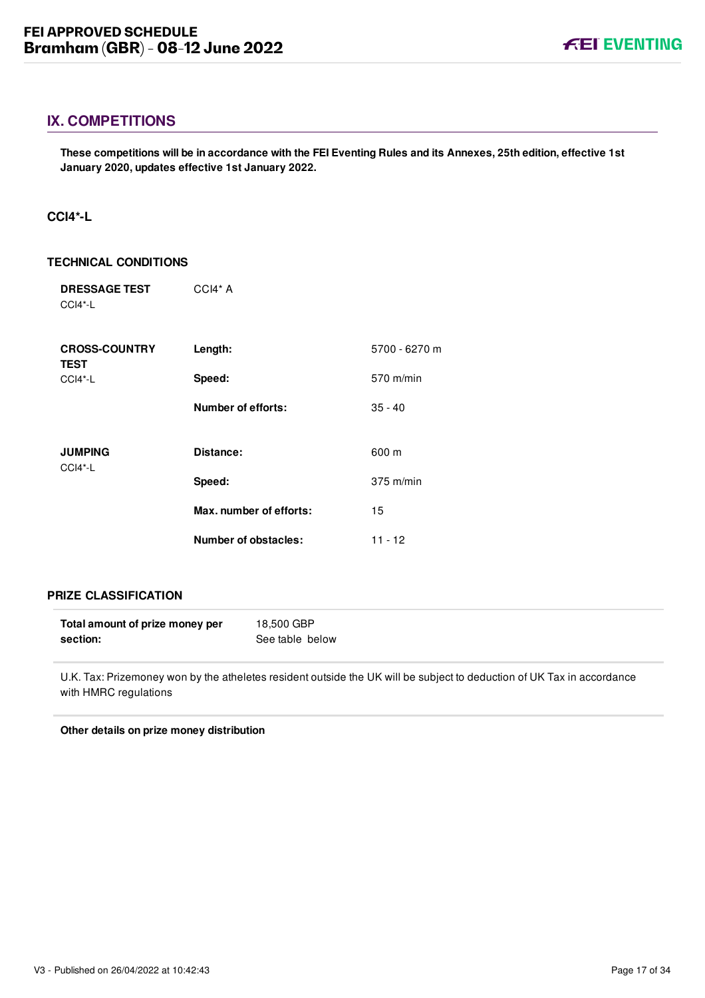# <span id="page-24-0"></span>**IX. COMPETITIONS**

**These competitions will be in accordance with the FEI Eventing Rules and its Annexes, 25th edition, effective 1st January 2020, updates effective 1st January 2022.**

#### <span id="page-24-1"></span>**CCI4\*-L**

#### **TECHNICAL CONDITIONS**

| <b>DRESSAGE TEST</b><br>$CCI4*-L$   | $CCH* A$                    |                     |
|-------------------------------------|-----------------------------|---------------------|
| <b>CROSS-COUNTRY</b><br><b>TEST</b> | Length:                     | 5700 - 6270 m       |
| $CCI4*-L$                           | Speed:                      | 570 m/min           |
|                                     | <b>Number of efforts:</b>   | $35 - 40$           |
| <b>JUMPING</b>                      | Distance:                   | 600 m               |
| $CCI4*-L$                           | Speed:                      | $375 \text{ m/min}$ |
|                                     | Max. number of efforts:     | 15                  |
|                                     | <b>Number of obstacles:</b> | $11 - 12$           |

#### **PRIZE CLASSIFICATION**

| Total amount of prize money per | 18,500 GBP      |
|---------------------------------|-----------------|
| section:                        | See table below |

U.K. Tax: Prizemoney won by the atheletes resident outside the UK will be subject to deduction of UK Tax in accordance with HMRC regulations

**Other details on prize money distribution**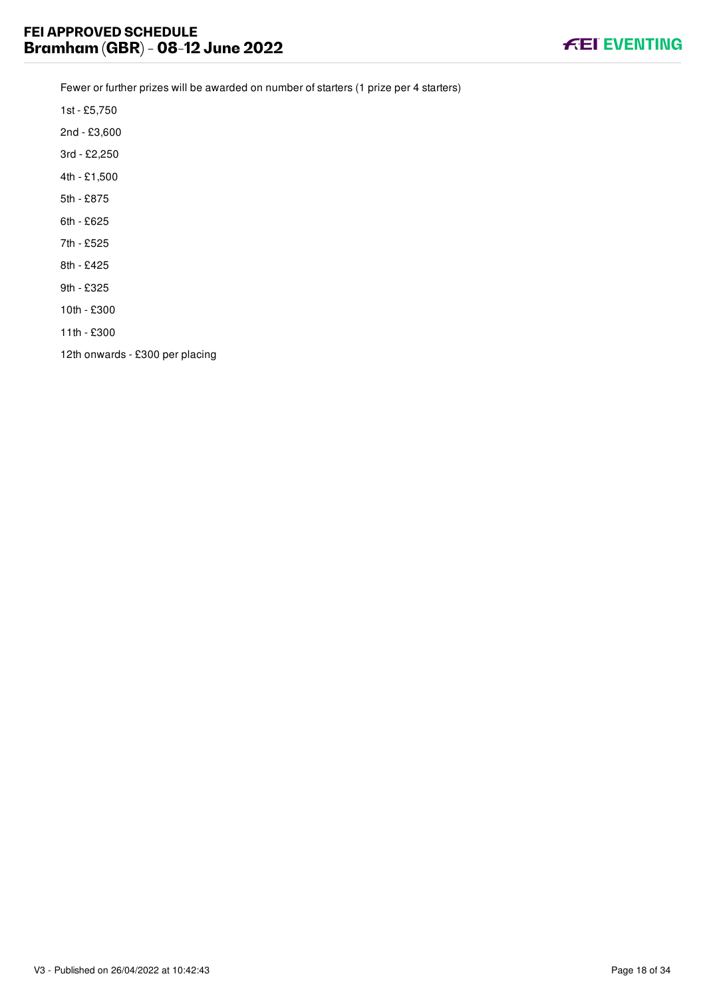

Fewer or further prizes will be awarded on number of starters (1 prize per 4 starters)

1st - £5,750

2nd - £3,600

- 3rd £2,250
- 4th £1,500
- 5th £875
- 6th £625
- 7th £525
- 8th £425
- 9th £325
- 10th £300
- 11th £300

12th onwards - £300 per placing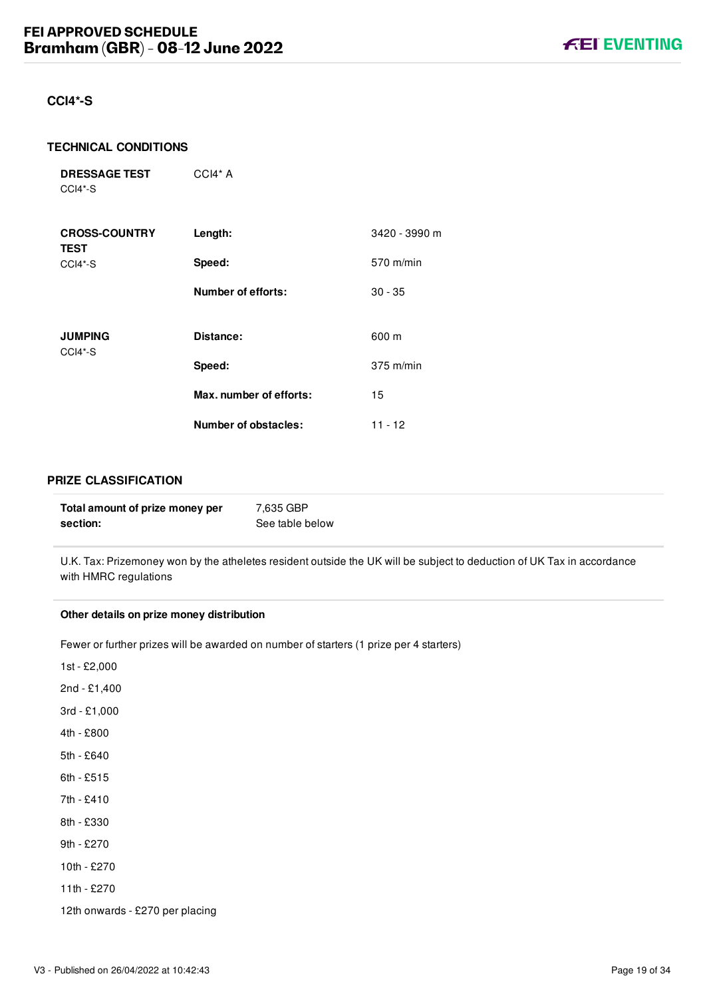#### <span id="page-26-0"></span>**CCI4\*-S**

#### **TECHNICAL CONDITIONS**

**DRESSAGE TEST** CCI4\*-S

| <b>CROSS-COUNTRY</b><br><b>TEST</b> | Length:                 | 3420 - 3990 m |
|-------------------------------------|-------------------------|---------------|
| CCI4*-S                             | Speed:                  | 570 m/min     |
|                                     | Number of efforts:      | $30 - 35$     |
| <b>JUMPING</b><br>CCI4*-S           | Distance:               | 600 m         |
|                                     | Speed:                  | $375$ m/min   |
|                                     | Max. number of efforts: | 15            |
|                                     | Number of obstacles:    | 11 - 12       |

CCI4\* A

#### **PRIZE CLASSIFICATION**

| Total amount of prize money per | 7.635 GBP       |
|---------------------------------|-----------------|
| section:                        | See table below |

U.K. Tax: Prizemoney won by the atheletes resident outside the UK will be subject to deduction of UK Tax in accordance with HMRC regulations

#### **Other details on prize money distribution**

Fewer or further prizes will be awarded on number of starters (1 prize per 4 starters)

- 1st £2,000
- 2nd £1,400
- 3rd £1,000
- 4th £800
- 5th £640
- 6th £515
- 7th £410
- 8th £330
- 9th £270
- 10th £270
- 11th £270
- 12th onwards £270 per placing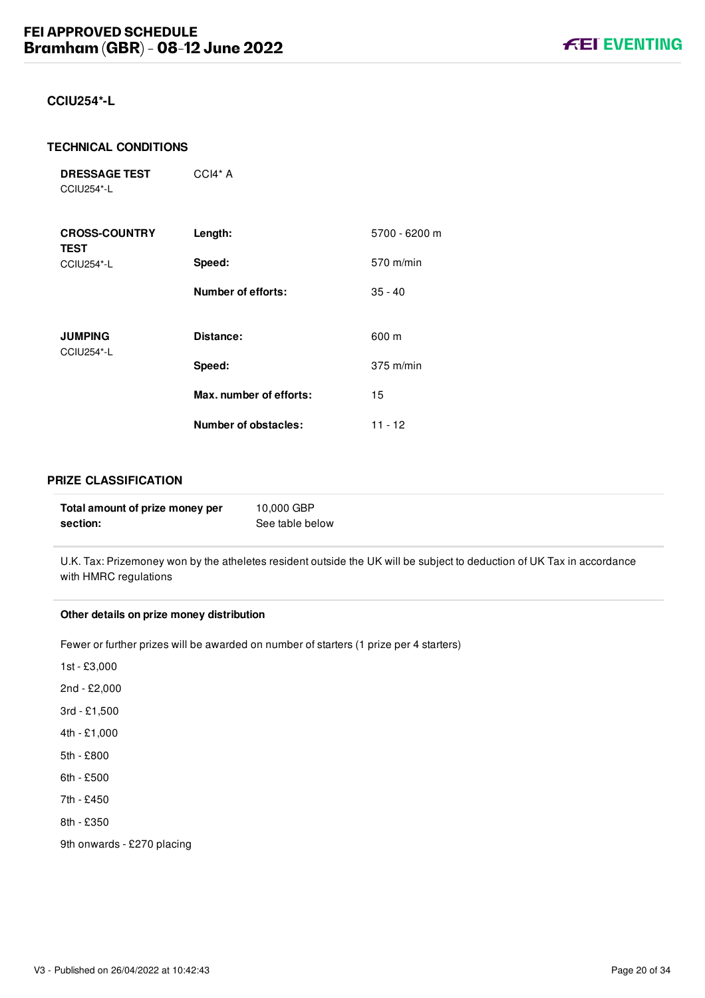#### <span id="page-27-0"></span>**CCIU254\*-L**

#### **TECHNICAL CONDITIONS**

| <b>DRESSAGE TEST</b> | $CCI4*A$ |
|----------------------|----------|
| CCIU254*-L           |          |

| <b>CROSS-COUNTRY</b><br><b>TEST</b> | Length:                 | 5700 - 6200 m |
|-------------------------------------|-------------------------|---------------|
| <b>CCIU254*-L</b>                   | Speed:                  | 570 m/min     |
|                                     | Number of efforts:      | $35 - 40$     |
| <b>JUMPING</b>                      | Distance:               | 600 m         |
| CCIU254*-L                          | Speed:                  | $375$ m/min   |
|                                     | Max. number of efforts: | 15            |
|                                     | Number of obstacles:    | $11 - 12$     |

#### **PRIZE CLASSIFICATION**

| Total amount of prize money per | 10,000 GBP      |
|---------------------------------|-----------------|
| section:                        | See table below |

U.K. Tax: Prizemoney won by the atheletes resident outside the UK will be subject to deduction of UK Tax in accordance with HMRC regulations

#### **Other details on prize money distribution**

Fewer or further prizes will be awarded on number of starters (1 prize per 4 starters)

- 1st £3,000
- 2nd £2,000
- 3rd £1,500
- 4th £1,000
- 5th £800
- 6th £500
- 7th £450
- 8th £350

9th onwards - £270 placing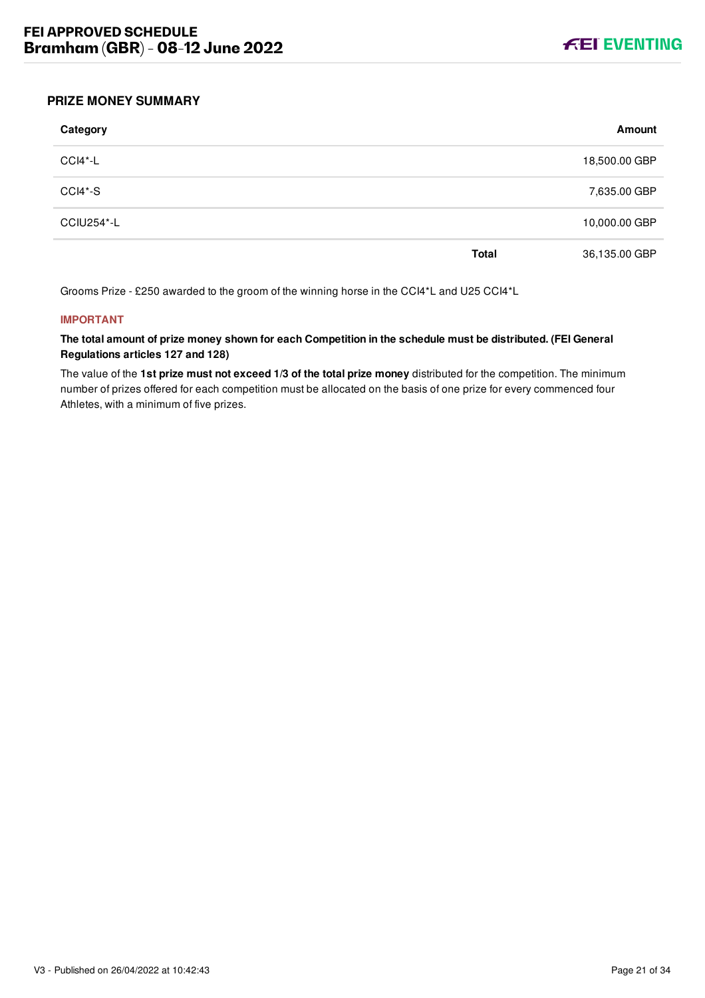

#### <span id="page-28-0"></span>**PRIZE MONEY SUMMARY**

| Category          |              | Amount        |
|-------------------|--------------|---------------|
| CCI4*-L           |              | 18,500.00 GBP |
| CCI4*-S           |              | 7,635.00 GBP  |
| <b>CCIU254*-L</b> |              | 10,000.00 GBP |
|                   | <b>Total</b> | 36,135.00 GBP |

Grooms Prize - £250 awarded to the groom of the winning horse in the CCI4\*L and U25 CCI4\*L

#### **IMPORTANT**

**The total amount of prize money shown for each Competition in the schedule must be distributed. (FEI General Regulations articles 127 and 128)**

The value of the **1st prize must not exceed 1/3 of the total prize money** distributed for the competition. The minimum number of prizes offered for each competition must be allocated on the basis of one prize for every commenced four Athletes, with a minimum of five prizes.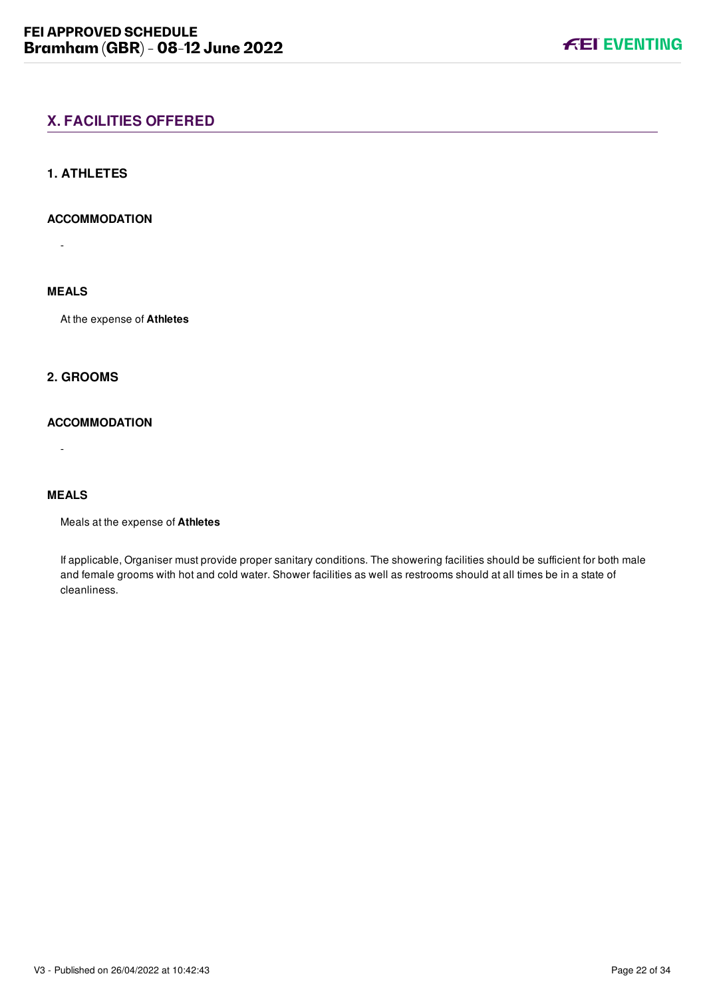# <span id="page-29-0"></span>**X. FACILITIES OFFERED**

#### <span id="page-29-1"></span>**1. ATHLETES**

#### **ACCOMMODATION**

-

# **MEALS**

At the expense of **Athletes**

# <span id="page-29-2"></span>**2. GROOMS**

#### **ACCOMMODATION**

**MEALS**

-

Meals at the expense of **Athletes**

If applicable, Organiser must provide proper sanitary conditions. The showering facilities should be sufficient for both male and female grooms with hot and cold water. Shower facilities as well as restrooms should at all times be in a state of cleanliness.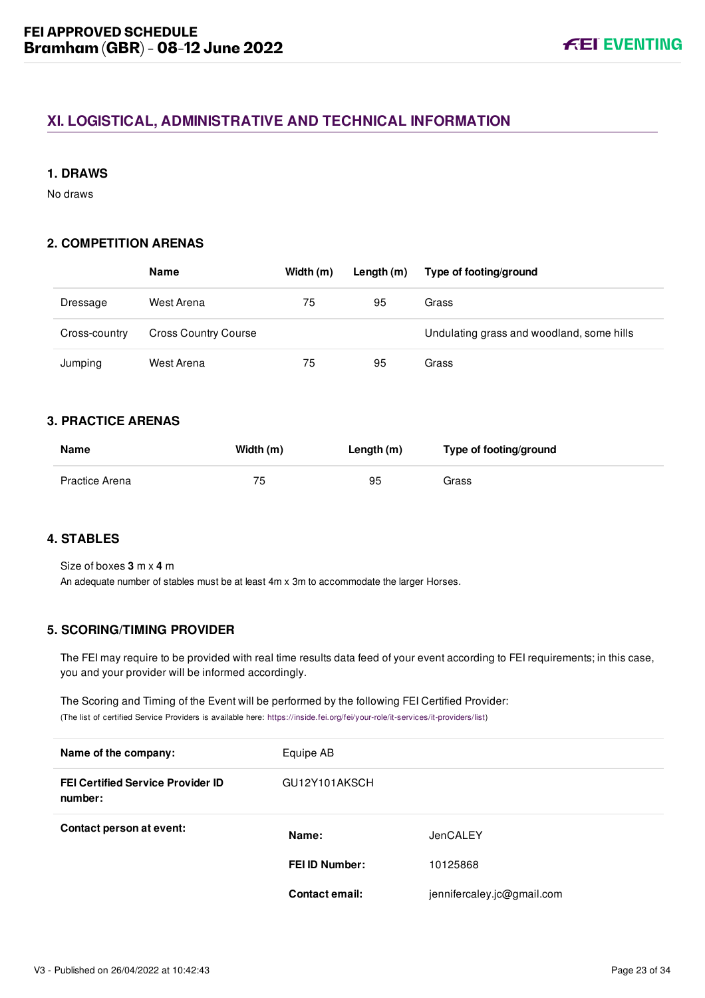# <span id="page-30-0"></span>**XI. LOGISTICAL, ADMINISTRATIVE AND TECHNICAL INFORMATION**

#### <span id="page-30-1"></span>**1. DRAWS**

No draws

#### <span id="page-30-2"></span>**2. COMPETITION ARENAS**

|               | <b>Name</b>                 | Width (m) | Length $(m)$ | Type of footing/ground                    |
|---------------|-----------------------------|-----------|--------------|-------------------------------------------|
| Dressage      | West Arena                  | 75        | 95           | Grass                                     |
| Cross-country | <b>Cross Country Course</b> |           |              | Undulating grass and woodland, some hills |
| Jumping       | West Arena                  | 75        | 95           | Grass                                     |

#### <span id="page-30-3"></span>**3. PRACTICE ARENAS**

| <b>Name</b>    | Width (m) | Length (m) | Type of footing/ground |
|----------------|-----------|------------|------------------------|
| Practice Arena | 75        | 95         | Grass                  |

# <span id="page-30-4"></span>**4. STABLES**

Size of boxes **3** m x **4** m An adequate number of stables must be at least 4m x 3m to accommodate the larger Horses.

# <span id="page-30-5"></span>**5. SCORING/TIMING PROVIDER**

The FEI may require to be provided with real time results data feed of your event according to FEI requirements; in this case, you and your provider will be informed accordingly.

The Scoring and Timing of the Event will be performed by the following FEI Certified Provider: (The list of certified Service Providers is available here: [https://inside.fei.org/fei/your-role/it-services/it-providers/list\)](https://inside.fei.org/fei/your-role/it-services/it-providers/list)

| Name of the company:                                | Equipe AB             |                            |
|-----------------------------------------------------|-----------------------|----------------------------|
| <b>FEI Certified Service Provider ID</b><br>number: | GU12Y101AKSCH         |                            |
| Contact person at event:                            | Name:                 | JenCALEY                   |
|                                                     | <b>FEI ID Number:</b> | 10125868                   |
|                                                     | Contact email:        | jennifercaley.jc@gmail.com |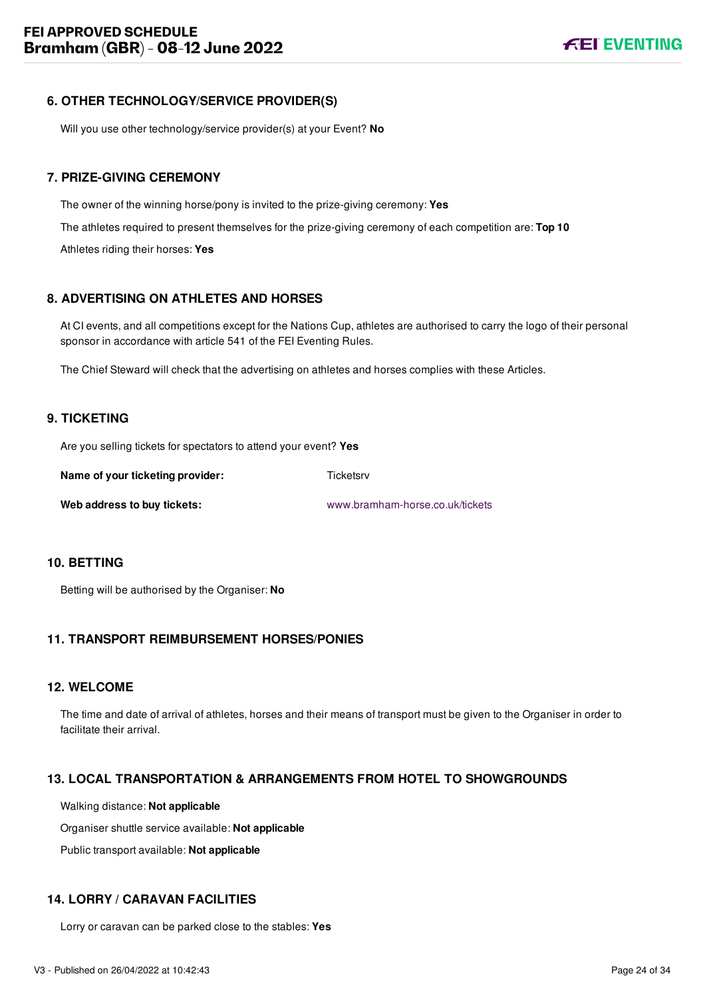# <span id="page-31-0"></span>**6. OTHER TECHNOLOGY/SERVICE PROVIDER(S)**

Will you use other technology/service provider(s) at your Event? **No**

# <span id="page-31-1"></span>**7. PRIZE-GIVING CEREMONY**

The owner of the winning horse/pony is invited to the prize-giving ceremony: **Yes** The athletes required to present themselves for the prize-giving ceremony of each competition are: **Top 10** Athletes riding their horses: **Yes**

# <span id="page-31-2"></span>**8. ADVERTISING ON ATHLETES AND HORSES**

At CI events, and all competitions except for the Nations Cup, athletes are authorised to carry the logo of their personal sponsor in accordance with article 541 of the FEI Eventing Rules.

The Chief Steward will check that the advertising on athletes and horses complies with these Articles.

# <span id="page-31-3"></span>**9. TICKETING**

Are you selling tickets for spectators to attend your event? **Yes**

| Name of your ticketing provider: | Ticketsrv                       |
|----------------------------------|---------------------------------|
| Web address to buy tickets:      | www.bramham-horse.co.uk/tickets |

#### <span id="page-31-4"></span>**10. BETTING**

Betting will be authorised by the Organiser: **No**

# <span id="page-31-5"></span>**11. TRANSPORT REIMBURSEMENT HORSES/PONIES**

#### <span id="page-31-6"></span>**12. WELCOME**

The time and date of arrival of athletes, horses and their means of transport must be given to the Organiser in order to facilitate their arrival.

# <span id="page-31-7"></span>**13. LOCAL TRANSPORTATION & ARRANGEMENTS FROM HOTEL TO SHOWGROUNDS**

Walking distance: **Not applicable**

Organiser shuttle service available: **Not applicable**

Public transport available: **Not applicable**

#### <span id="page-31-8"></span>**14. LORRY / CARAVAN FACILITIES**

Lorry or caravan can be parked close to the stables: **Yes**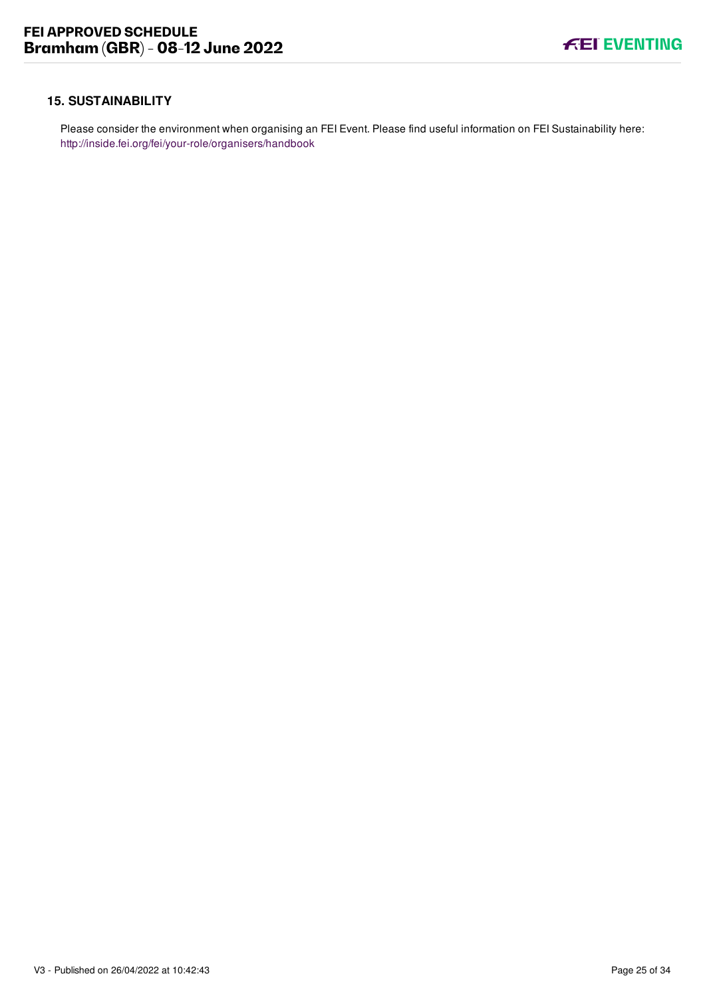#### <span id="page-32-0"></span>**15. SUSTAINABILITY**

Please consider the environment when organising an FEI Event. Please find useful information on FEI Sustainability here: <http://inside.fei.org/fei/your-role/organisers/handbook>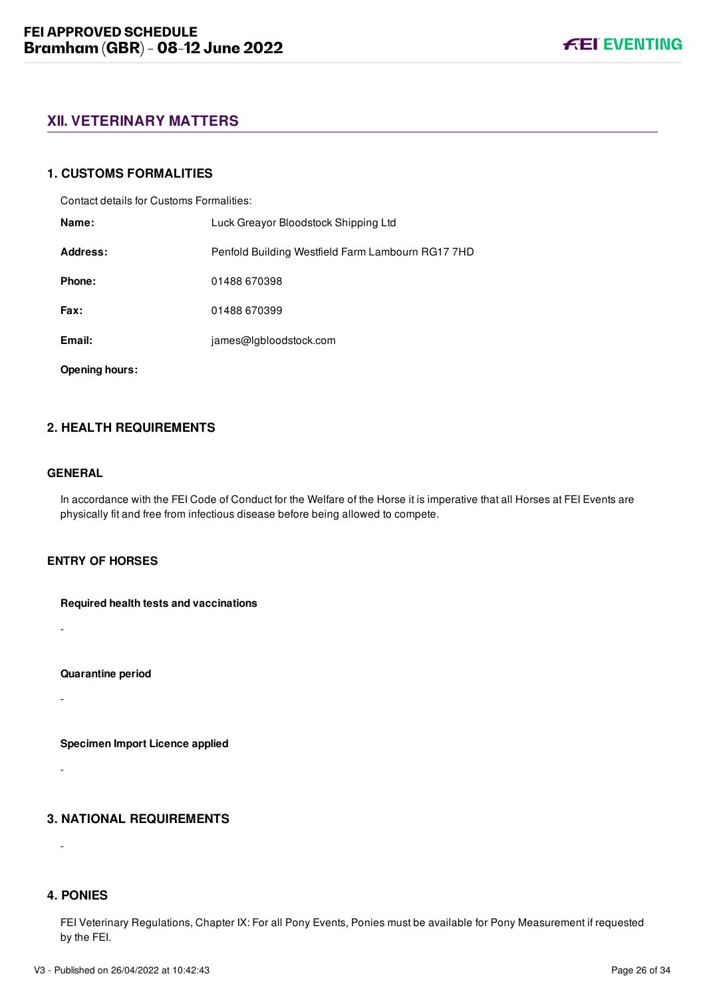# <span id="page-33-0"></span>**XII. VETERINARY MATTERS**

#### <span id="page-33-1"></span>**1. CUSTOMS FORMALITIES**

Contact details for Customs Formalities:

| Name:    | Luck Greayor Bloodstock Shipping Ltd              |
|----------|---------------------------------------------------|
| Address: | Penfold Building Westfield Farm Lambourn RG17 7HD |
| Phone:   | 01488 670398                                      |
| Fax:     | 01488 670399                                      |
| Email:   | james@lgbloodstock.com                            |
|          |                                                   |

**Opening hours:**

# <span id="page-33-2"></span>**2. HEALTH REQUIREMENTS**

#### **GENERAL**

-

-

-

-

In accordance with the FEI Code of Conduct for the Welfare of the Horse it is imperative that all Horses at FEI Events are physically fit and free from infectious disease before being allowed to compete.

#### **ENTRY OF HORSES**

**Required health tests and vaccinations**

**Quarantine period**

**Specimen Import Licence applied**

#### <span id="page-33-3"></span>**3. NATIONAL REQUIREMENTS**

<span id="page-33-4"></span>**4. PONIES**

FEI Veterinary Regulations, Chapter IX: For all Pony Events, Ponies must be available for Pony Measurement if requested by the FEI.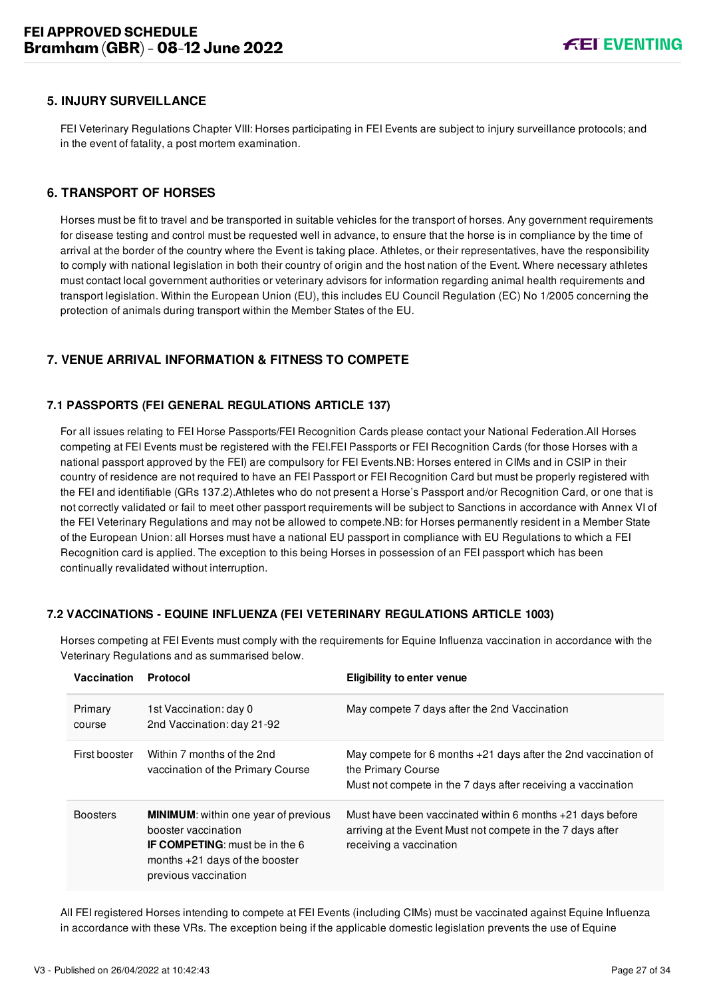#### <span id="page-34-0"></span>**5. INJURY SURVEILLANCE**

FEI Veterinary Regulations Chapter VIII: Horses participating in FEI Events are subject to injury surveillance protocols; and in the event of fatality, a post mortem examination.

#### <span id="page-34-1"></span>**6. TRANSPORT OF HORSES**

Horses must be fit to travel and be transported in suitable vehicles for the transport of horses. Any government requirements for disease testing and control must be requested well in advance, to ensure that the horse is in compliance by the time of arrival at the border of the country where the Event is taking place. Athletes, or their representatives, have the responsibility to comply with national legislation in both their country of origin and the host nation of the Event. Where necessary athletes must contact local government authorities or veterinary advisors for information regarding animal health requirements and transport legislation. Within the European Union (EU), this includes EU Council Regulation (EC) No 1/2005 concerning the protection of animals during transport within the Member States of the EU.

# <span id="page-34-2"></span>**7. VENUE ARRIVAL INFORMATION & FITNESS TO COMPETE**

#### <span id="page-34-3"></span>**7.1 PASSPORTS (FEI GENERAL REGULATIONS ARTICLE 137)**

For all issues relating to FEI Horse Passports/FEI Recognition Cards please contact your National Federation.All Horses competing at FEI Events must be registered with the FEI.FEI Passports or FEI Recognition Cards (for those Horses with a national passport approved by the FEI) are compulsory for FEI Events.NB: Horses entered in CIMs and in CSIP in their country of residence are not required to have an FEI Passport or FEI Recognition Card but must be properly registered with the FEI and identifiable (GRs 137.2).Athletes who do not present a Horse's Passport and/or Recognition Card, or one that is not correctly validated or fail to meet other passport requirements will be subject to Sanctions in accordance with Annex VI of the FEI Veterinary Regulations and may not be allowed to compete.NB: for Horses permanently resident in a Member State of the European Union: all Horses must have a national EU passport in compliance with EU Regulations to which a FEI Recognition card is applied. The exception to this being Horses in possession of an FEI passport which has been continually revalidated without interruption.

#### <span id="page-34-4"></span>**7.2 VACCINATIONS - EQUINE INFLUENZA (FEI VETERINARY REGULATIONS ARTICLE 1003)**

| <b>Vaccination</b> | Protocol                                                                                                                                                                | <b>Eligibility to enter venue</b>                                                                                                                    |
|--------------------|-------------------------------------------------------------------------------------------------------------------------------------------------------------------------|------------------------------------------------------------------------------------------------------------------------------------------------------|
| Primary<br>course  | 1st Vaccination: day 0<br>2nd Vaccination: day 21-92                                                                                                                    | May compete 7 days after the 2nd Vaccination                                                                                                         |
| First booster      | Within 7 months of the 2nd<br>vaccination of the Primary Course                                                                                                         | May compete for 6 months +21 days after the 2nd vaccination of<br>the Primary Course<br>Must not compete in the 7 days after receiving a vaccination |
| <b>Boosters</b>    | <b>MINIMUM:</b> within one year of previous<br>booster vaccination<br><b>IF COMPETING:</b> must be in the 6<br>months $+21$ days of the booster<br>previous vaccination | Must have been vaccinated within 6 months $+21$ days before<br>arriving at the Event Must not compete in the 7 days after<br>receiving a vaccination |

Horses competing at FEI Events must comply with the requirements for Equine Influenza vaccination in accordance with the Veterinary Regulations and as summarised below.

All FEI registered Horses intending to compete at FEI Events (including CIMs) must be vaccinated against Equine Influenza in accordance with these VRs. The exception being if the applicable domestic legislation prevents the use of Equine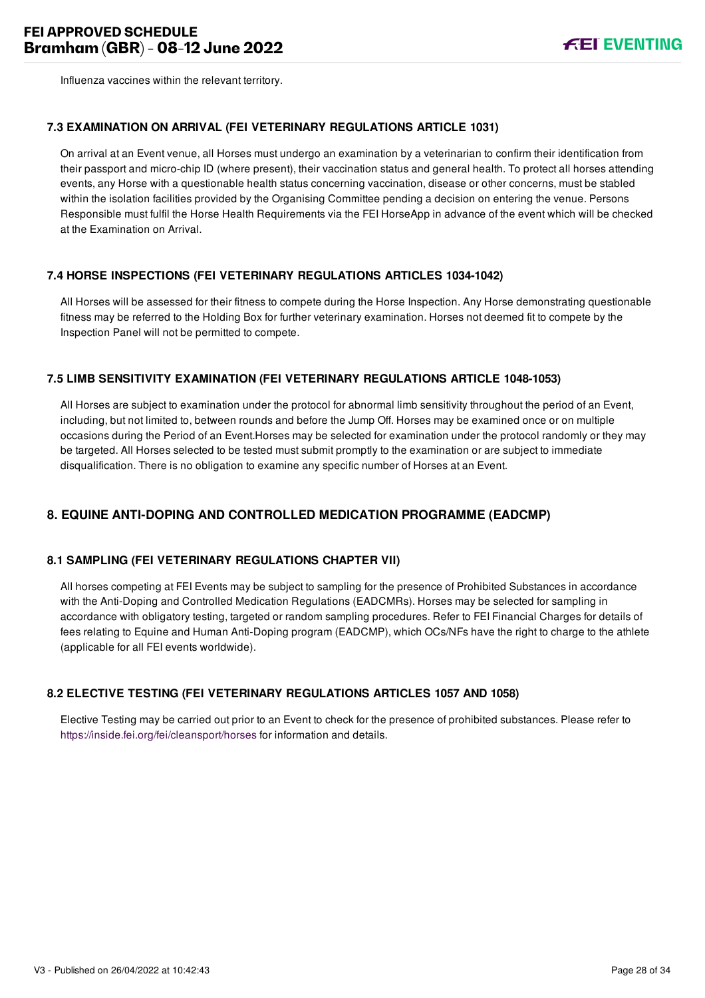Influenza vaccines within the relevant territory.

#### <span id="page-35-0"></span>**7.3 EXAMINATION ON ARRIVAL (FEI VETERINARY REGULATIONS ARTICLE 1031)**

On arrival at an Event venue, all Horses must undergo an examination by a veterinarian to confirm their identification from their passport and micro-chip ID (where present), their vaccination status and general health. To protect all horses attending events, any Horse with a questionable health status concerning vaccination, disease or other concerns, must be stabled within the isolation facilities provided by the Organising Committee pending a decision on entering the venue. Persons Responsible must fulfil the Horse Health Requirements via the FEI HorseApp in advance of the event which will be checked at the Examination on Arrival.

#### <span id="page-35-1"></span>**7.4 HORSE INSPECTIONS (FEI VETERINARY REGULATIONS ARTICLES 1034-1042)**

All Horses will be assessed for their fitness to compete during the Horse Inspection. Any Horse demonstrating questionable fitness may be referred to the Holding Box for further veterinary examination. Horses not deemed fit to compete by the Inspection Panel will not be permitted to compete.

#### <span id="page-35-2"></span>**7.5 LIMB SENSITIVITY EXAMINATION (FEI VETERINARY REGULATIONS ARTICLE 1048-1053)**

All Horses are subject to examination under the protocol for abnormal limb sensitivity throughout the period of an Event, including, but not limited to, between rounds and before the Jump Off. Horses may be examined once or on multiple occasions during the Period of an Event.Horses may be selected for examination under the protocol randomly or they may be targeted. All Horses selected to be tested must submit promptly to the examination or are subject to immediate disqualification. There is no obligation to examine any specific number of Horses at an Event.

# <span id="page-35-3"></span>**8. EQUINE ANTI-DOPING AND CONTROLLED MEDICATION PROGRAMME (EADCMP)**

#### <span id="page-35-4"></span>**8.1 SAMPLING (FEI VETERINARY REGULATIONS CHAPTER VII)**

All horses competing at FEI Events may be subject to sampling for the presence of Prohibited Substances in accordance with the Anti-Doping and Controlled Medication Regulations (EADCMRs). Horses may be selected for sampling in accordance with obligatory testing, targeted or random sampling procedures. Refer to FEI Financial Charges for details of fees relating to Equine and Human Anti-Doping program (EADCMP), which OCs/NFs have the right to charge to the athlete (applicable for all FEI events worldwide).

#### <span id="page-35-5"></span>**8.2 ELECTIVE TESTING (FEI VETERINARY REGULATIONS ARTICLES 1057 AND 1058)**

Elective Testing may be carried out prior to an Event to check for the presence of prohibited substances. Please refer to <https://inside.fei.org/fei/cleansport/horses>for information and details.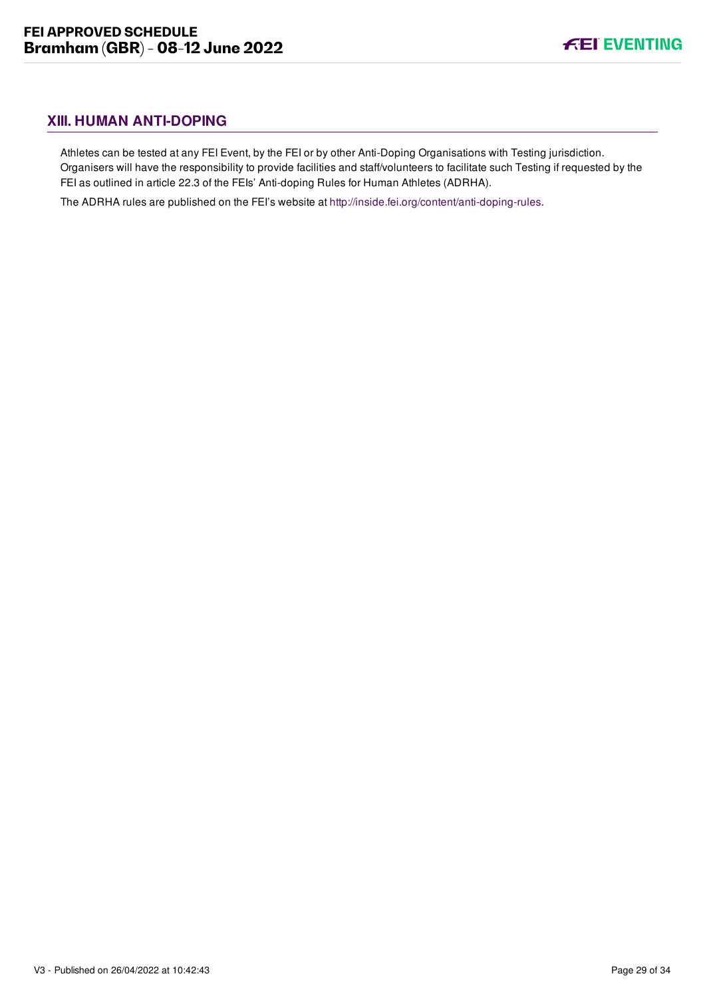# <span id="page-36-0"></span>**XIII. HUMAN ANTI-DOPING**

Athletes can be tested at any FEI Event, by the FEI or by other Anti-Doping Organisations with Testing jurisdiction. Organisers will have the responsibility to provide facilities and staff/volunteers to facilitate such Testing if requested by the FEI as outlined in article 22.3 of the FEIs' Anti-doping Rules for Human Athletes (ADRHA).

The ADRHA rules are published on the FEI's website at [http://inside.fei.org/content/anti-doping-rules.](http://inside.fei.org/content/anti-doping-rules)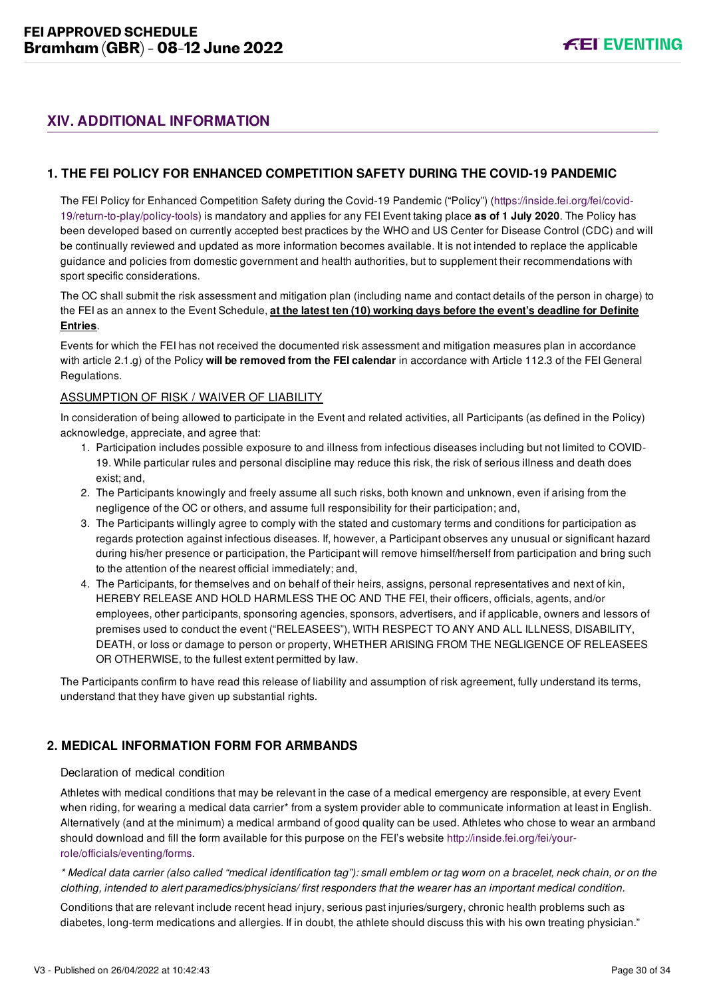# <span id="page-37-0"></span>**XIV. ADDITIONAL INFORMATION**

### <span id="page-37-1"></span>**1. THE FEI POLICY FOR ENHANCED COMPETITION SAFETY DURING THE COVID-19 PANDEMIC**

[The FEI Policy for Enhanced Competition Safety during the Covid-19 Pandemic \("Policy"\) \(https://inside.fei.org/fei/covid-](https://inside.fei.org/fei/covid-19/return-to-play/policy-tools)19/return-to-play/policy-tools) is mandatory and applies for any FEI Event taking place **as of 1 July 2020**. The Policy has been developed based on currently accepted best practices by the WHO and US Center for Disease Control (CDC) and will be continually reviewed and updated as more information becomes available. It is not intended to replace the applicable guidance and policies from domestic government and health authorities, but to supplement their recommendations with sport specific considerations.

The OC shall submit the risk assessment and mitigation plan (including name and contact details of the person in charge) to the FEI as an annex to the Event Schedule, **at the latest ten (10) working days before the event's deadline for Definite Entries**.

Events for which the FEI has not received the documented risk assessment and mitigation measures plan in accordance with article 2.1.g) of the Policy **will be removed from the FEI calendar** in accordance with Article 112.3 of the FEI General Regulations.

#### ASSUMPTION OF RISK / WAIVER OF LIABILITY

In consideration of being allowed to participate in the Event and related activities, all Participants (as defined in the Policy) acknowledge, appreciate, and agree that:

- 1. Participation includes possible exposure to and illness from infectious diseases including but not limited to COVID-19. While particular rules and personal discipline may reduce this risk, the risk of serious illness and death does exist; and,
- 2. The Participants knowingly and freely assume all such risks, both known and unknown, even if arising from the negligence of the OC or others, and assume full responsibility for their participation; and,
- 3. The Participants willingly agree to comply with the stated and customary terms and conditions for participation as regards protection against infectious diseases. If, however, a Participant observes any unusual or significant hazard during his/her presence or participation, the Participant will remove himself/herself from participation and bring such to the attention of the nearest official immediately; and,
- 4. The Participants, for themselves and on behalf of their heirs, assigns, personal representatives and next of kin, HEREBY RELEASE AND HOLD HARMLESS THE OC AND THE FEI, their officers, officials, agents, and/or employees, other participants, sponsoring agencies, sponsors, advertisers, and if applicable, owners and lessors of premises used to conduct the event ("RELEASEES"), WITH RESPECT TO ANY AND ALL ILLNESS, DISABILITY, DEATH, or loss or damage to person or property, WHETHER ARISING FROM THE NEGLIGENCE OF RELEASEES OR OTHERWISE, to the fullest extent permitted by law.

The Participants confirm to have read this release of liability and assumption of risk agreement, fully understand its terms, understand that they have given up substantial rights.

# <span id="page-37-2"></span>**2. MEDICAL INFORMATION FORM FOR ARMBANDS**

#### Declaration of medical condition

Athletes with medical conditions that may be relevant in the case of a medical emergency are responsible, at every Event when riding, for wearing a medical data carrier\* from a system provider able to communicate information at least in English. Alternatively (and at the minimum) a medical armband of good quality can be used. Athletes who chose to wear an armband [should download and fill the form available for this purpose on the FEI's website http://inside.fei.org/fei/your](http://inside.fei.org/fei/your-role/officials/eventing/forms)role/officials/eventing/forms.

*\* Medical data carrier (also called "medical identification tag"): small emblem or tag worn on a bracelet, neck chain, or on the clothing, intended to alert paramedics/physicians/ first responders that the wearer has an important medical condition.*

Conditions that are relevant include recent head injury, serious past injuries/surgery, chronic health problems such as diabetes, long-term medications and allergies. If in doubt, the athlete should discuss this with his own treating physician."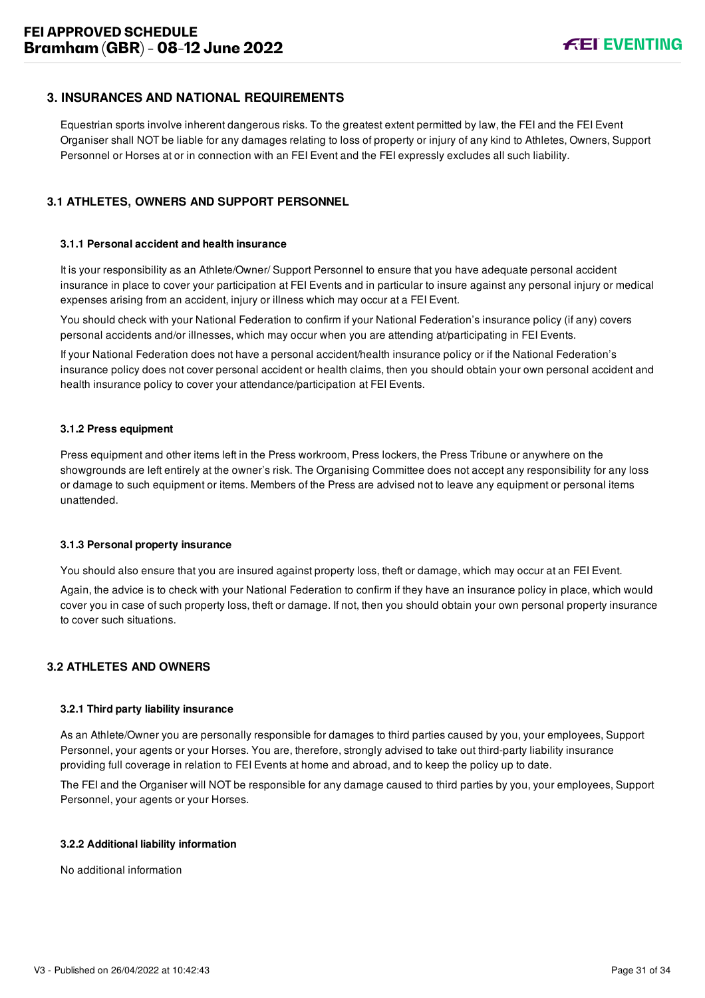#### <span id="page-38-0"></span>**3. INSURANCES AND NATIONAL REQUIREMENTS**

Equestrian sports involve inherent dangerous risks. To the greatest extent permitted by law, the FEI and the FEI Event Organiser shall NOT be liable for any damages relating to loss of property or injury of any kind to Athletes, Owners, Support Personnel or Horses at or in connection with an FEI Event and the FEI expressly excludes all such liability.

#### <span id="page-38-1"></span>**3.1 ATHLETES, OWNERS AND SUPPORT PERSONNEL**

#### **3.1.1 Personal accident and health insurance**

It is your responsibility as an Athlete/Owner/ Support Personnel to ensure that you have adequate personal accident insurance in place to cover your participation at FEI Events and in particular to insure against any personal injury or medical expenses arising from an accident, injury or illness which may occur at a FEI Event.

You should check with your National Federation to confirm if your National Federation's insurance policy (if any) covers personal accidents and/or illnesses, which may occur when you are attending at/participating in FEI Events.

If your National Federation does not have a personal accident/health insurance policy or if the National Federation's insurance policy does not cover personal accident or health claims, then you should obtain your own personal accident and health insurance policy to cover your attendance/participation at FEI Events.

#### **3.1.2 Press equipment**

Press equipment and other items left in the Press workroom, Press lockers, the Press Tribune or anywhere on the showgrounds are left entirely at the owner's risk. The Organising Committee does not accept any responsibility for any loss or damage to such equipment or items. Members of the Press are advised not to leave any equipment or personal items unattended.

#### **3.1.3 Personal property insurance**

You should also ensure that you are insured against property loss, theft or damage, which may occur at an FEI Event.

Again, the advice is to check with your National Federation to confirm if they have an insurance policy in place, which would cover you in case of such property loss, theft or damage. If not, then you should obtain your own personal property insurance to cover such situations.

#### <span id="page-38-2"></span>**3.2 ATHLETES AND OWNERS**

#### **3.2.1 Third party liability insurance**

As an Athlete/Owner you are personally responsible for damages to third parties caused by you, your employees, Support Personnel, your agents or your Horses. You are, therefore, strongly advised to take out third-party liability insurance providing full coverage in relation to FEI Events at home and abroad, and to keep the policy up to date.

The FEI and the Organiser will NOT be responsible for any damage caused to third parties by you, your employees, Support Personnel, your agents or your Horses.

#### **3.2.2 Additional liability information**

No additional information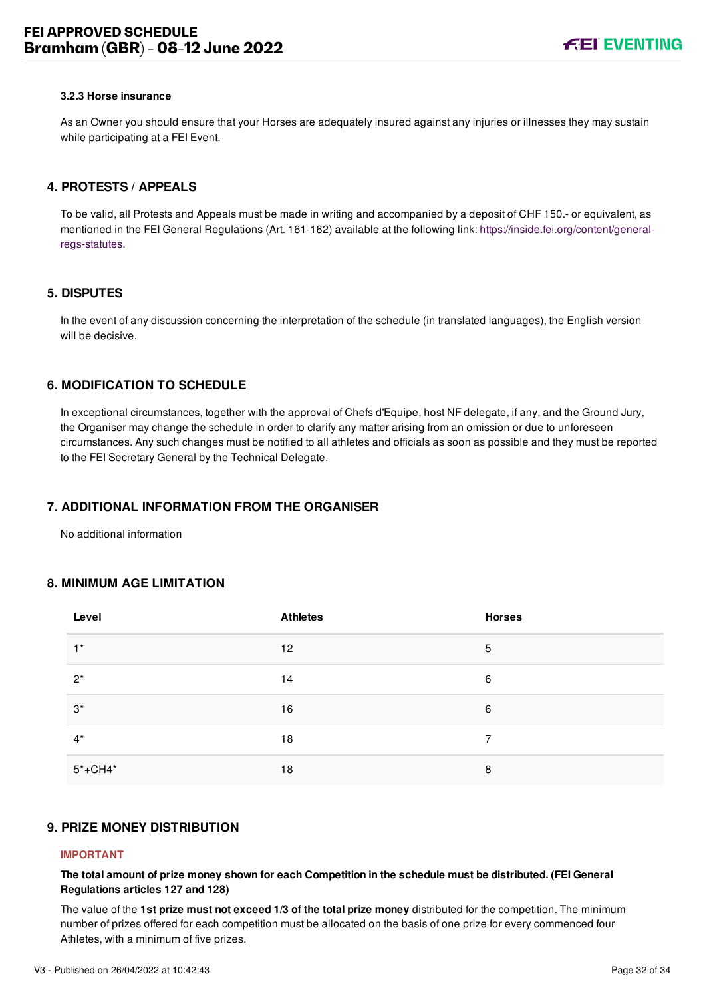#### **3.2.3 Horse insurance**

As an Owner you should ensure that your Horses are adequately insured against any injuries or illnesses they may sustain while participating at a FEI Event.

#### <span id="page-39-0"></span>**4. PROTESTS / APPEALS**

To be valid, all Protests and Appeals must be made in writing and accompanied by a deposit of CHF 150.- or equivalent, as [mentioned in the FEI General Regulations \(Art. 161-162\) available at the following link: https://inside.fei.org/content/general](https://inside.fei.org/content/general-regs-statutes)regs-statutes.

#### <span id="page-39-1"></span>**5. DISPUTES**

In the event of any discussion concerning the interpretation of the schedule (in translated languages), the English version will be decisive.

#### <span id="page-39-2"></span>**6. MODIFICATION TO SCHEDULE**

In exceptional circumstances, together with the approval of Chefs d'Equipe, host NF delegate, if any, and the Ground Jury, the Organiser may change the schedule in order to clarify any matter arising from an omission or due to unforeseen circumstances. Any such changes must be notified to all athletes and officials as soon as possible and they must be reported to the FEI Secretary General by the Technical Delegate.

#### <span id="page-39-3"></span>**7. ADDITIONAL INFORMATION FROM THE ORGANISER**

No additional information

#### <span id="page-39-4"></span>**8. MINIMUM AGE LIMITATION**

| Level       | <b>Athletes</b> | <b>Horses</b> |
|-------------|-----------------|---------------|
| $1^*$       | 12              | 5             |
| $2^*$       | 14              | 6             |
| $3^*$       | 16              | 6             |
| $4^*$       | 18              | 7             |
| $5* + CH4*$ | 18              | 8             |

#### <span id="page-39-5"></span>**9. PRIZE MONEY DISTRIBUTION**

#### **IMPORTANT**

**The total amount of prize money shown for each Competition in the schedule must be distributed. (FEI General Regulations articles 127 and 128)**

The value of the **1st prize must not exceed 1/3 of the total prize money** distributed for the competition. The minimum number of prizes offered for each competition must be allocated on the basis of one prize for every commenced four Athletes, with a minimum of five prizes.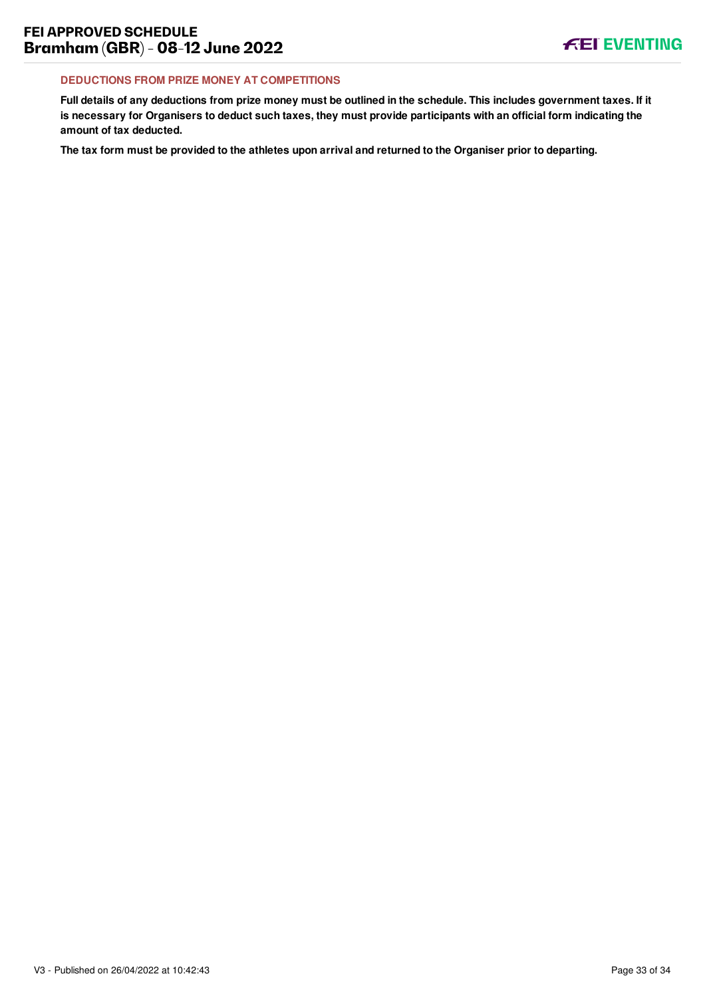#### **DEDUCTIONS FROM PRIZE MONEY AT COMPETITIONS**

**Full details of any deductions from prize money must be outlined in the schedule. This includes government taxes. If it is necessary for Organisers to deduct such taxes, they must provide participants with an official form indicating the amount of tax deducted.**

**The tax form must be provided to the athletes upon arrival and returned to the Organiser prior to departing.**